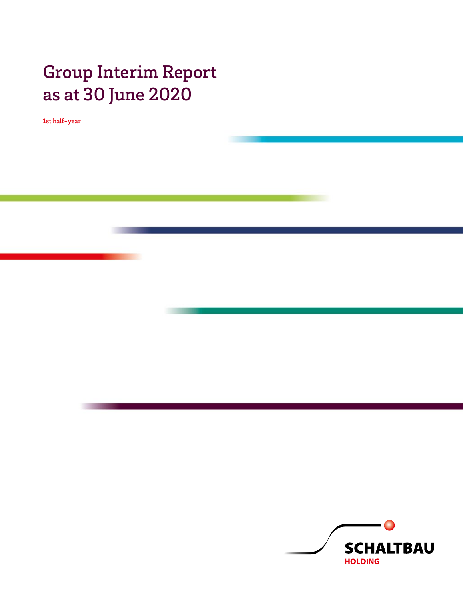# Group Interim Report as at 30 June 2020

1st half-year

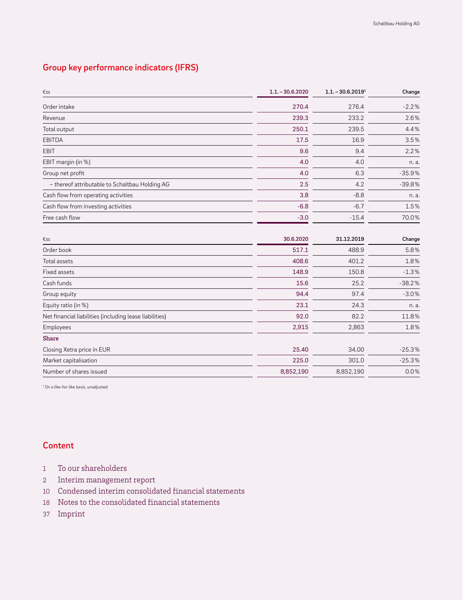# Group key performance indicators (IFRS)

| €m                                                      | $1.1 - 30.6.2020$ | $1.1 - 30.6.20191$ | Change   |
|---------------------------------------------------------|-------------------|--------------------|----------|
| Order intake                                            | 270.4             | 276.4              | $-2.2%$  |
| Revenue                                                 | 239.3             | 233.2              | 2.6%     |
| Total output                                            | 250.1             | 239.5              | 4.4%     |
| <b>EBITDA</b>                                           | 17.5              | 16.9               | 3.5%     |
| <b>EBIT</b>                                             | 9.6               | 9.4                | 2.2%     |
| EBIT margin (in %)                                      | 4.0               | 4.0                | n. a.    |
| Group net profit                                        | 4.0               | 6.3                | $-35.9%$ |
| - thereof attributable to Schaltbau Holding AG          | 2.5               | 4.2                | $-39.8%$ |
| Cash flow from operating activities                     | 3.8               | $-8.8$             | n. a.    |
| Cash flow from investing activities                     | $-6.8$            | $-6.7$             | 1.5%     |
| Free cash flow                                          | $-3.0$            | $-15.4$            | 70.0%    |
| €m                                                      | 30.6.2020         | 31.12.2019         | Change   |
| Order book                                              | 517.1             | 488.9              | 5.8%     |
| Total assets                                            | 408.6             | 401.2              | 1.8%     |
| Fixed assets                                            | 148.9             | 150.8              | $-1.3%$  |
| Cash funds                                              | 15.6              | 25.2               | $-38.2%$ |
| Group equity                                            | 94.4              | 97.4               | $-3.0%$  |
| Equity ratio (in %)                                     | 23.1              | 24.3               | n. a.    |
| Net financial liabilities (including lease liabilities) | 92.0              | 82.2               | 11.8%    |
| Employees                                               | 2,915             | 2,863              | 1.8%     |
| Share                                                   |                   |                    |          |
| Closing Xetra price in EUR                              | 25.40             | 34.00              | $-25.3%$ |
| Market capitalisation                                   | 225.0             | 301.0              | $-25.3%$ |
| Number of shares issued                                 | 8,852,190         | 8,852,190          | 0.0%     |

<sup>1</sup> On a like-for-like basis, unadjusted

# **Content**

- 1 To our shareholders
- 2 Interim management report
- 10 Condensed interim consolidated financial statements
- 18 Notes to the consolidated financial statements
- 37 Imprint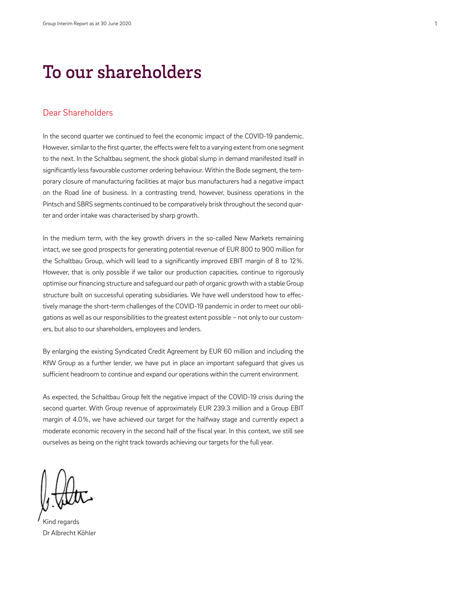# To our shareholders

# Dear Shareholders

In the second quarter we continued to feel the economic impact of the COVID-19 pandemic. However, similar to the first quarter, the effects were felt to a varying extent from one segment to the next. In the Schaltbau segment, the shock global slump in demand manifested itself in significantly less favourable customer ordering behaviour. Within the Bode segment, the temporary closure of manufacturing facilities at major bus manufacturers had a negative impact on the Road line of business. In a contrasting trend, however, business operations in the Pintsch and SBRS segments continued to be comparatively brisk throughout the second quarter and order intake was characterised by sharp growth.

In the medium term, with the key growth drivers in the so-called New Markets remaining intact, we see good prospects for generating potential revenue of EUR 800 to 900 million for the Schaltbau Group, which will lead to a significantly improved EBIT margin of 8 to 12%. However, that is only possible if we tailor our production capacities, continue to rigorously optimise our financing structure and safeguard our path of organic growth with a stable Group structure built on successful operating subsidiaries. We have well understood how to effectively manage the short-term challenges of the COVID-19 pandemic in order to meet our obligations as well as our responsibilities to the greatest extent possible – not only to our customers, but also to our shareholders, employees and lenders.

By enlarging the existing Syndicated Credit Agreement by EUR 60 million and including the KfW Group as a further lender, we have put in place an important safeguard that gives us sufficient headroom to continue and expand our operations within the current environment.

As expected, the Schaltbau Group felt the negative impact of the COVID-19 crisis during the second quarter. With Group revenue of approximately EUR 239.3 million and a Group EBIT margin of 4.0%, we have achieved our target for the halfway stage and currently expect a moderate economic recovery in the second half of the fiscal year. In this context, we still see ourselves as being on the right track towards achieving our targets for the full year.

Kind regards Dr Albrecht Köhler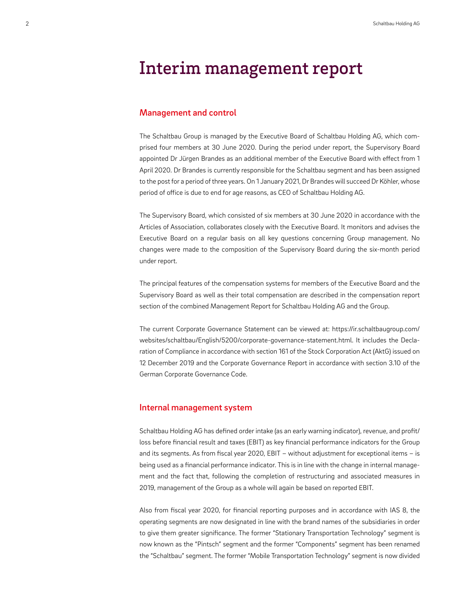# Interim management report

# Management and control

The Schaltbau Group is managed by the Executive Board of Schaltbau Holding AG, which comprised four members at 30 June 2020. During the period under report, the Supervisory Board appointed Dr Jürgen Brandes as an additional member of the Executive Board with effect from 1 April 2020. Dr Brandes is currently responsible for the Schaltbau segment and has been assigned to the post for a period of three years. On 1 January 2021, Dr Brandes will succeed Dr Köhler, whose period of office is due to end for age reasons, as CEO of Schaltbau Holding AG.

The Supervisory Board, which consisted of six members at 30 June 2020 in accordance with the Articles of Association, collaborates closely with the Executive Board. It monitors and advises the Executive Board on a regular basis on all key questions concerning Group management. No changes were made to the composition of the Supervisory Board during the six-month period under report.

The principal features of the compensation systems for members of the Executive Board and the Supervisory Board as well as their total compensation are described in the compensation report section of the combined Management Report for Schaltbau Holding AG and the Group.

The current Corporate Governance Statement can be viewed at: https://ir.schaltbaugroup.com/ websites/schaltbau/English/5200/corporate-governance-statement.html. It includes the Declaration of Compliance in accordance with section 161 of the Stock Corporation Act (AktG) issued on 12 December 2019 and the Corporate Governance Report in accordance with section 3.10 of the German Corporate Governance Code.

## Internal management system

Schaltbau Holding AG has defined order intake (as an early warning indicator), revenue, and profit/ loss before financial result and taxes (EBIT) as key financial performance indicators for the Group and its segments. As from fiscal year 2020, EBIT – without adjustment for exceptional items – is being used as a financial performance indicator. This is in line with the change in internal management and the fact that, following the completion of restructuring and associated measures in 2019, management of the Group as a whole will again be based on reported EBIT.

Also from fiscal year 2020, for financial reporting purposes and in accordance with IAS 8, the operating segments are now designated in line with the brand names of the subsidiaries in order to give them greater significance. The former "Stationary Transportation Technology" segment is now known as the "Pintsch" segment and the former "Components" segment has been renamed the "Schaltbau" segment. The former "Mobile Transportation Technology" segment is now divided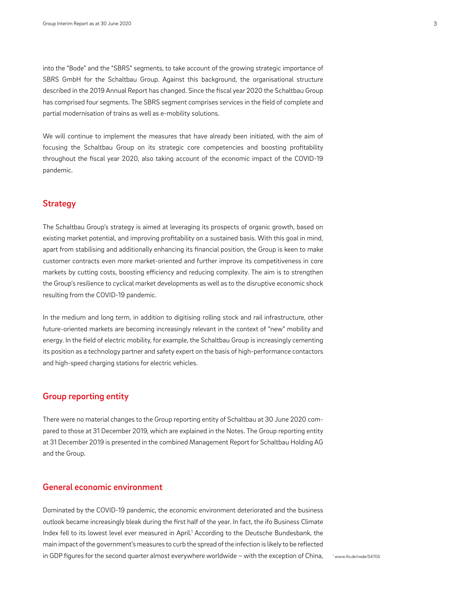into the "Bode" and the "SBRS" segments, to take account of the growing strategic importance of SBRS GmbH for the Schaltbau Group. Against this background, the organisational structure described in the 2019 Annual Report has changed. Since the fiscal year 2020 the Schaltbau Group has comprised four segments. The SBRS segment comprises services in the field of complete and partial modernisation of trains as well as e-mobility solutions.

We will continue to implement the measures that have already been initiated, with the aim of focusing the Schaltbau Group on its strategic core competencies and boosting profitability throughout the fiscal year 2020, also taking account of the economic impact of the COVID-19 pandemic.

# **Strategy**

The Schaltbau Group's strategy is aimed at leveraging its prospects of organic growth, based on existing market potential, and improving profitability on a sustained basis. With this goal in mind, apart from stabilising and additionally enhancing its financial position, the Group is keen to make customer contracts even more market-oriented and further improve its competitiveness in core markets by cutting costs, boosting efficiency and reducing complexity. The aim is to strengthen the Group's resilience to cyclical market developments as well as to the disruptive economic shock resulting from the COVID-19 pandemic.

In the medium and long term, in addition to digitising rolling stock and rail infrastructure, other future-oriented markets are becoming increasingly relevant in the context of "new" mobility and energy. In the field of electric mobility, for example, the Schaltbau Group is increasingly cementing its position as a technology partner and safety expert on the basis of high-performance contactors and high-speed charging stations for electric vehicles.

# Group reporting entity

There were no material changes to the Group reporting entity of Schaltbau at 30 June 2020 compared to those at 31 December 2019, which are explained in the Notes. The Group reporting entity at 31 December 2019 is presented in the combined Management Report for Schaltbau Holding AG and the Group.

# General economic environment

Dominated by the COVID-19 pandemic, the economic environment deteriorated and the business outlook became increasingly bleak during the first half of the year. In fact, the ifo Business Climate Index fell to its lowest level ever measured in April.<sup>1</sup> According to the Deutsche Bundesbank, the main impact of the government's measures to curb the spread of the infection is likely to be reflected in GDP figures for the second quarter almost everywhere worldwide – with the exception of China, www.ifo.de/node/54705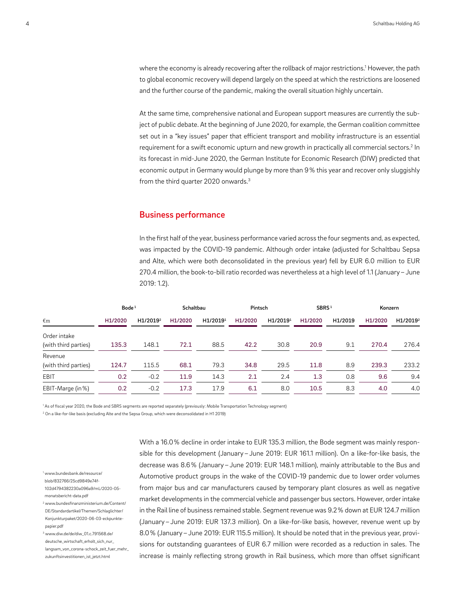where the economy is already recovering after the rollback of major restrictions.<sup>1</sup> However, the path to global economic recovery will depend largely on the speed at which the restrictions are loosened and the further course of the pandemic, making the overall situation highly uncertain.

At the same time, comprehensive national and European support measures are currently the subject of public debate. At the beginning of June 2020, for example, the German coalition committee set out in a "key issues" paper that efficient transport and mobility infrastructure is an essential requirement for a swift economic upturn and new growth in practically all commercial sectors.<sup>2</sup> In its forecast in mid-June 2020, the German Institute for Economic Research (DIW) predicted that economic output in Germany would plunge by more than 9% this year and recover only sluggishly from the third quarter 2020 onwards.<sup>3</sup>

## Business performance

In the first half of the year, business performance varied across the four segments and, as expected, was impacted by the COVID-19 pandemic. Although order intake (adjusted for Schaltbau Sepsa and Alte, which were both deconsolidated in the previous year) fell by EUR 6.0 million to EUR 270.4 million, the book-to-bill ratio recorded was nevertheless at a high level of 1.1 (January–June 2019: 1.2).

|                                      | Bode <sup>1</sup> |                      | Schaltbau |                      | Pintsch |                      | SBRS <sup>1</sup> |         | Konzern |                      |  |
|--------------------------------------|-------------------|----------------------|-----------|----------------------|---------|----------------------|-------------------|---------|---------|----------------------|--|
| €m                                   | H1/2020           | H1/2019 <sup>2</sup> | H1/2020   | H1/2019 <sup>1</sup> | H1/2020 | H1/2019 <sup>1</sup> | H1/2020           | H1/2019 | H1/2020 | H1/2019 <sup>2</sup> |  |
| Order intake<br>(with third parties) | 135.3             | 148.1                | 72.1      | 88.5                 | 42.2    | 30.8                 | 20.9              | 9.1     | 270.4   | 276.4                |  |
| Revenue<br>(with third parties)      | 124.7             | 115.5                | 68.1      | 79.3                 | 34.8    | 29.5                 | 11.8              | 8.9     | 239.3   | 233.2                |  |
| EBIT                                 | 0.2               | $-0.2$               | 11.9      | 14.3                 | 2.1     | 2.4                  | 1.3               | 0.8     | 9.6     | 9.4                  |  |
| EBIT-Marge (in %)                    | 0.2               | $-0.2$               | 17.3      | 17.9                 | 6.1     | 8.0                  | 10.5              | 8.3     | 4.0     | 4.0                  |  |

<sup>1</sup> As of fiscal year 2020, the Bode and SBRS segments are reported separately (previously: Mobile Transportation Technology segment)

<sup>2</sup> On a like-for-like basis (excluding Alte and the Sepsa Group, which were deconsolidated in H1 2019)

With a 16.0% decline in order intake to EUR 135.3 million, the Bode segment was mainly responsible for this development (January–June 2019: EUR 161.1 million). On a like-for-like basis, the decrease was 8.6% (January–June 2019: EUR 148.1 million), mainly attributable to the Bus and Automotive product groups in the wake of the COVID-19 pandemic due to lower order volumes from major bus and car manufacturers caused by temporary plant closures as well as negative market developments in the commercial vehicle and passenger bus sectors. However, order intake in the Rail line of business remained stable. Segment revenue was 9.2% down at EUR 124.7 million (January–June 2019: EUR 137.3 million). On a like-for-like basis, however, revenue went up by 8.0% (January–June 2019: EUR 115.5 million). It should be noted that in the previous year, provisions for outstanding guarantees of EUR 6.7 million were recorded as a reduction in sales. The increase is mainly reflecting strong growth in Rail business, which more than offset significant

<sup>1</sup> www.bundesbank.de/resource/

blob/832766/25cd9849e74f-102d4794382230a096a9/mL/2020-05-

monatsbericht-data.pdf

<sup>2</sup> www.bundesfinanzministerium.de/Content/ DE/Standardartikel/Themen/Schlaglichter/ Konjunkturpaket/2020-06-03-eckpunktepapier.pdf

<sup>3</sup> www.diw.de/de/diw\_01.c.791568.de/ deutsche\_wirtschaft\_erholt\_sich\_nur\_ langsam\_von\_corona-schock\_zeit\_fuer\_mehr\_ zukunftsinvestitionen\_ist\_ietzt.html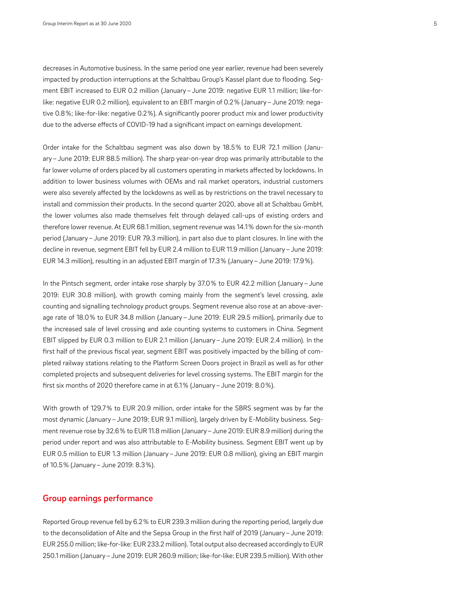decreases in Automotive business. In the same period one year earlier, revenue had been severely impacted by production interruptions at the Schaltbau Group's Kassel plant due to flooding. Segment EBIT increased to EUR 0.2 million (January–June 2019: negative EUR 1.1 million; like-forlike: negative EUR 0.2 million), equivalent to an EBIT margin of 0.2% (January–June 2019: negative 0.8%; like-for-like: negative 0.2%). A significantly poorer product mix and lower productivity due to the adverse effects of COVID-19 had a significant impact on earnings development.

Order intake for the Schaltbau segment was also down by 18.5% to EUR 72.1 million (January–June 2019: EUR 88.5 million). The sharp year-on-year drop was primarily attributable to the far lower volume of orders placed by all customers operating in markets affected by lockdowns. In addition to lower business volumes with OEMs and rail market operators, industrial customers were also severely affected by the lockdowns as well as by restrictions on the travel necessary to install and commission their products. In the second quarter 2020, above all at Schaltbau GmbH, the lower volumes also made themselves felt through delayed call-ups of existing orders and therefore lower revenue. At EUR 68.1 million, segment revenue was 14.1% down for the six-month period (January–June 2019: EUR 79.3 million), in part also due to plant closures. In line with the decline in revenue, segment EBIT fell by EUR 2.4 million to EUR 11.9 million (January–June 2019: EUR 14.3 million), resulting in an adjusted EBIT margin of 17.3% (January–June 2019: 17.9%).

In the Pintsch segment, order intake rose sharply by 37.0% to EUR 42.2 million (January–June 2019: EUR 30.8 million), with growth coming mainly from the segment's level crossing, axle counting and signalling technology product groups. Segment revenue also rose at an above-average rate of 18.0% to EUR 34.8 million (January–June 2019: EUR 29.5 million), primarily due to the increased sale of level crossing and axle counting systems to customers in China. Segment EBIT slipped by EUR 0.3 million to EUR 2.1 million (January–June 2019: EUR 2.4 million). In the first half of the previous fiscal year, segment EBIT was positively impacted by the billing of completed railway stations relating to the Platform Screen Doors project in Brazil as well as for other completed projects and subsequent deliveries for level crossing systems. The EBIT margin for the first six months of 2020 therefore came in at 6.1% (January–June 2019: 8.0%).

With growth of 129.7% to EUR 20.9 million, order intake for the SBRS segment was by far the most dynamic (January–June 2019: EUR 9.1 million), largely driven by E-Mobility business. Segment revenue rose by 32.6% to EUR 11.8 million (January–June 2019: EUR 8.9 million) during the period under report and was also attributable to E-Mobility business. Segment EBIT went up by EUR 0.5 million to EUR 1.3 million (January–June 2019: EUR 0.8 million), giving an EBIT margin of 10.5% (January–June 2019: 8.3%).

# Group earnings performance

Reported Group revenue fell by 6.2% to EUR 239.3 million during the reporting period, largely due to the deconsolidation of Alte and the Sepsa Group in the first half of 2019 (January–June 2019: EUR 255.0 million; like-for-like: EUR 233.2 million). Total output also decreased accordingly to EUR 250.1 million (January–June 2019: EUR 260.9 million; like-for-like: EUR 239.5 million). With other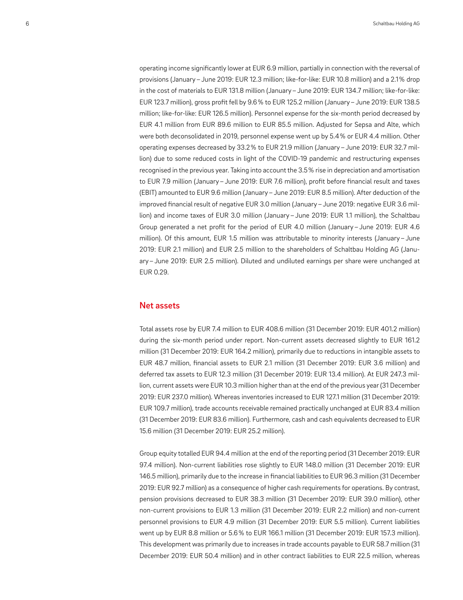operating income significantly lower at EUR 6.9 million, partially in connection with the reversal of provisions (January–June 2019: EUR 12.3 million; like-for-like: EUR 10.8 million) and a 2.1% drop in the cost of materials to EUR 131.8 million (January–June 2019: EUR 134.7 million; like-for-like: EUR 123.7 million), gross profit fell by 9.6% to EUR 125.2 million (January–June 2019: EUR 138.5 million; like-for-like: EUR 126.5 million). Personnel expense for the six-month period decreased by EUR 4.1 million from EUR 89.6 million to EUR 85.5 million. Adjusted for Sepsa and Alte, which were both deconsolidated in 2019, personnel expense went up by 5.4% or EUR 4.4 million. Other operating expenses decreased by 33.2% to EUR 21.9 million (January–June 2019: EUR 32.7 million) due to some reduced costs in light of the COVID-19 pandemic and restructuring expenses recognised in the previous year. Taking into account the 3.5% rise in depreciation and amortisation to EUR 7.9 million (January–June 2019: EUR 7.6 million), profit before financial result and taxes (EBIT) amounted to EUR 9.6 million (January–June 2019: EUR 8.5 million). After deduction of the improved financial result of negative EUR 3.0 million (January–June 2019: negative EUR 3.6 million) and income taxes of EUR 3.0 million (January–June 2019: EUR 1.1 million), the Schaltbau Group generated a net profit for the period of EUR 4.0 million (January–June 2019: EUR 4.6 million). Of this amount, EUR 1.5 million was attributable to minority interests (January–June 2019: EUR 2.1 million) and EUR 2.5 million to the shareholders of Schaltbau Holding AG (January–June 2019: EUR 2.5 million). Diluted and undiluted earnings per share were unchanged at EUR 0.29.

## Net assets

Total assets rose by EUR 7.4 million to EUR 408.6 million (31 December 2019: EUR 401.2 million) during the six-month period under report. Non-current assets decreased slightly to EUR 161.2 million (31 December 2019: EUR 164.2 million), primarily due to reductions in intangible assets to EUR 48.7 million, financial assets to EUR 2.1 million (31 December 2019: EUR 3.6 million) and deferred tax assets to EUR 12.3 million (31 December 2019: EUR 13.4 million). At EUR 247.3 million, current assets were EUR 10.3 million higher than at the end of the previous year (31 December 2019: EUR 237.0 million). Whereas inventories increased to EUR 127.1 million (31 December 2019: EUR 109.7 million), trade accounts receivable remained practically unchanged at EUR 83.4 million (31 December 2019: EUR 83.6 million). Furthermore, cash and cash equivalents decreased to EUR 15.6 million (31 December 2019: EUR 25.2 million).

Group equity totalled EUR 94.4 million at the end of the reporting period (31 December 2019: EUR 97.4 million). Non-current liabilities rose slightly to EUR 148.0 million (31 December 2019: EUR 146.5 million), primarily due to the increase in financial liabilities to EUR 96.3 million (31 December 2019: EUR 92.7 million) as a consequence of higher cash requirements for operations. By contrast, pension provisions decreased to EUR 38.3 million (31 December 2019: EUR 39.0 million), other non-current provisions to EUR 1.3 million (31 December 2019: EUR 2.2 million) and non-current personnel provisions to EUR 4.9 million (31 December 2019: EUR 5.5 million). Current liabilities went up by EUR 8.8 million or 5.6% to EUR 166.1 million (31 December 2019: EUR 157.3 million). This development was primarily due to increases in trade accounts payable to EUR 58.7 million (31 December 2019: EUR 50.4 million) and in other contract liabilities to EUR 22.5 million, whereas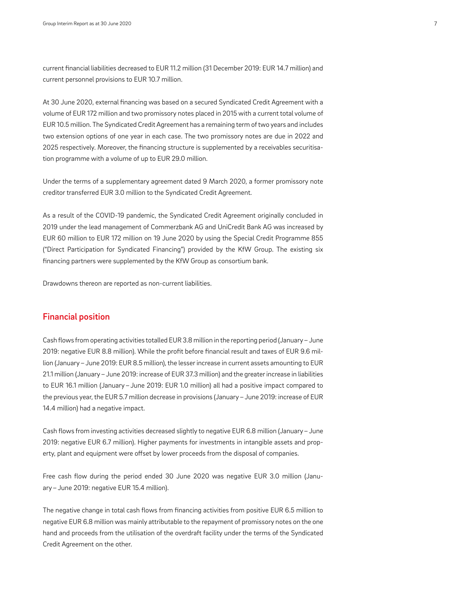current financial liabilities decreased to EUR 11.2 million (31 December 2019: EUR 14.7 million) and current personnel provisions to EUR 10.7 million.

At 30 June 2020, external financing was based on a secured Syndicated Credit Agreement with a volume of EUR 172 million and two promissory notes placed in 2015 with a current total volume of EUR 10.5 million. The Syndicated Credit Agreement has a remaining term of two years and includes two extension options of one year in each case. The two promissory notes are due in 2022 and 2025 respectively. Moreover, the financing structure is supplemented by a receivables securitisation programme with a volume of up to EUR 29.0 million.

Under the terms of a supplementary agreement dated 9 March 2020, a former promissory note creditor transferred EUR 3.0 million to the Syndicated Credit Agreement.

As a result of the COVID-19 pandemic, the Syndicated Credit Agreement originally concluded in 2019 under the lead management of Commerzbank AG and UniCredit Bank AG was increased by EUR 60 million to EUR 172 million on 19 June 2020 by using the Special Credit Programme 855 ("Direct Participation for Syndicated Financing") provided by the KfW Group. The existing six financing partners were supplemented by the KfW Group as consortium bank.

Drawdowns thereon are reported as non-current liabilities.

# Financial position

Cash flows from operating activities totalled EUR 3.8 million in the reporting period (January–June 2019: negative EUR 8.8 million). While the profit before financial result and taxes of EUR 9.6 million (January–June 2019: EUR 8.5 million), the lesser increase in current assets amounting to EUR 21.1 million (January–June 2019: increase of EUR 37.3 million) and the greater increase in liabilities to EUR 16.1 million (January–June 2019: EUR 1.0 million) all had a positive impact compared to the previous year, the EUR 5.7 million decrease in provisions (January–June 2019: increase of EUR 14.4 million) had a negative impact.

Cash flows from investing activities decreased slightly to negative EUR 6.8 million (January–June 2019: negative EUR 6.7 million). Higher payments for investments in intangible assets and property, plant and equipment were offset by lower proceeds from the disposal of companies.

Free cash flow during the period ended 30 June 2020 was negative EUR 3.0 million (January–June 2019: negative EUR 15.4 million).

The negative change in total cash flows from financing activities from positive EUR 6.5 million to negative EUR 6.8 million was mainly attributable to the repayment of promissory notes on the one hand and proceeds from the utilisation of the overdraft facility under the terms of the Syndicated Credit Agreement on the other.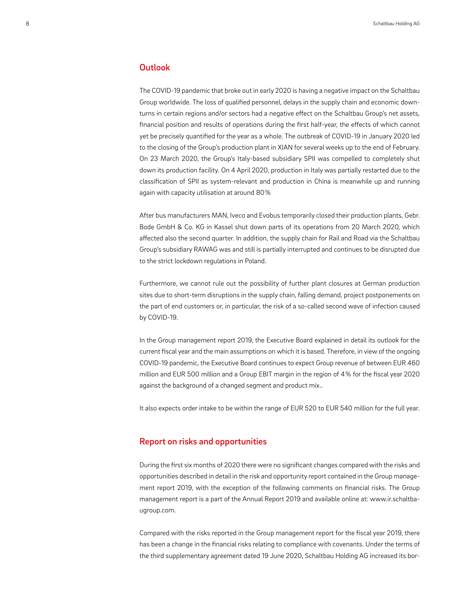# Outlook

The COVID-19 pandemic that broke out in early 2020 is having a negative impact on the Schaltbau Group worldwide. The loss of qualified personnel, delays in the supply chain and economic downturns in certain regions and/or sectors had a negative effect on the Schaltbau Group's net assets, financial position and results of operations during the first half-year, the effects of which cannot yet be precisely quantified for the year as a whole. The outbreak of COVID-19 in January 2020 led to the closing of the Group's production plant in XIAN for several weeks up to the end of February. On 23 March 2020, the Group's Italy-based subsidiary SPII was compelled to completely shut down its production facility. On 4 April 2020, production in Italy was partially restarted due to the classification of SPII as system-relevant and production in China is meanwhile up and running again with capacity utilisation at around 80%

After bus manufacturers MAN, Iveco and Evobus temporarily closed their production plants, Gebr. Bode GmbH & Co. KG in Kassel shut down parts of its operations from 20 March 2020, which affected also the second quarter. In addition, the supply chain for Rail and Road via the Schaltbau Group's subsidiary RAWAG was and still is partially interrupted and continues to be disrupted due to the strict lockdown regulations in Poland.

Furthermore, we cannot rule out the possibility of further plant closures at German production sites due to short-term disruptions in the supply chain, falling demand, project postponements on the part of end customers or, in particular, the risk of a so-called second wave of infection caused by COVID-19.

In the Group management report 2019, the Executive Board explained in detail its outlook for the current fiscal year and the main assumptions on which it is based. Therefore, in view of the ongoing COVID-19 pandemic, the Executive Board continues to expect Group revenue of between EUR 460 million and EUR 500 million and a Group EBIT margin in the region of 4% for the fiscal year 2020 against the background of a changed segment and product mix..

It also expects order intake to be within the range of EUR 520 to EUR 540 million for the full year.

# Report on risks and opportunities

During the first six months of 2020 there were no significant changes compared with the risks and opportunities described in detail in the risk and opportunity report contained in the Group management report 2019, with the exception of the following comments on financial risks. The Group management report is a part of the Annual Report 2019 and available online at: www.ir.schaltbaugroup.com.

Compared with the risks reported in the Group management report for the fiscal year 2019, there has been a change in the financial risks relating to compliance with covenants. Under the terms of the third supplementary agreement dated 19 June 2020, Schaltbau Holding AG increased its bor-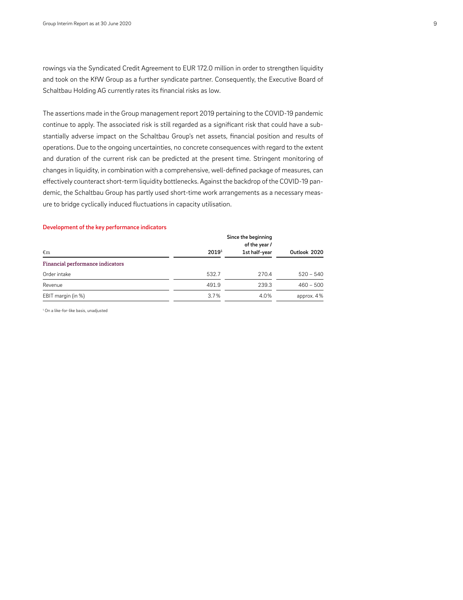rowings via the Syndicated Credit Agreement to EUR 172.0 million in order to strengthen liquidity and took on the KfW Group as a further syndicate partner. Consequently, the Executive Board of Schaltbau Holding AG currently rates its financial risks as low.

The assertions made in the Group management report 2019 pertaining to the COVID-19 pandemic continue to apply. The associated risk is still regarded as a significant risk that could have a substantially adverse impact on the Schaltbau Group's net assets, financial position and results of operations. Due to the ongoing uncertainties, no concrete consequences with regard to the extent and duration of the current risk can be predicted at the present time. Stringent monitoring of changes in liquidity, in combination with a comprehensive, well-defined package of measures, can effectively counteract short-term liquidity bottlenecks. Against the backdrop of the COVID-19 pandemic, the Schaltbau Group has partly used short-time work arrangements as a necessary measure to bridge cyclically induced fluctuations in capacity utilisation.

#### Development of the key performance indicators

|                                  | Since the beginning<br>of the year / |               |              |  |  |  |  |  |
|----------------------------------|--------------------------------------|---------------|--------------|--|--|--|--|--|
| €m                               | 20191                                | 1st half-year | Outlook 2020 |  |  |  |  |  |
| Financial performance indicators |                                      |               |              |  |  |  |  |  |
| Order intake                     | 532.7                                | 270.4         | $520 - 540$  |  |  |  |  |  |
| Revenue                          | 491.9                                | 239.3         | $460 - 500$  |  |  |  |  |  |
| EBIT margin (in %)               | 3.7%                                 | 4.0%          | approx. 4%   |  |  |  |  |  |

<sup>1</sup> On a like-for-like basis, unadjusted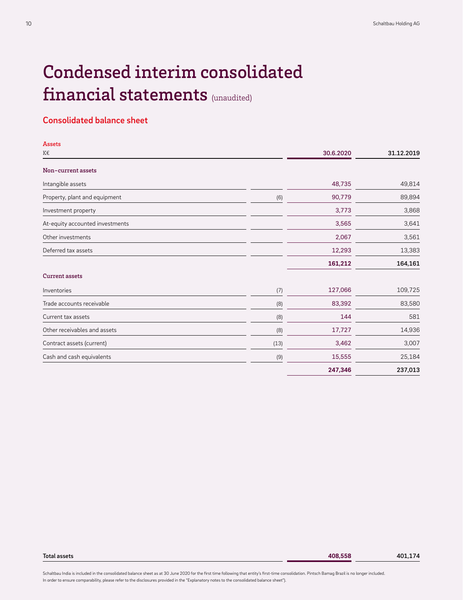# Condensed interim consolidated financial statements (unaudited)

# Consolidated balance sheet

| <b>Assets</b>                   |      |           |            |
|---------------------------------|------|-----------|------------|
| K€                              |      | 30.6.2020 | 31.12.2019 |
| Non-current assets              |      |           |            |
| Intangible assets               |      | 48,735    | 49,814     |
| Property, plant and equipment   | (6)  | 90,779    | 89,894     |
| Investment property             |      | 3,773     | 3,868      |
| At-equity accounted investments |      | 3,565     | 3,641      |
| Other investments               |      | 2,067     | 3,561      |
| Deferred tax assets             |      | 12,293    | 13,383     |
|                                 |      | 161,212   | 164,161    |
| <b>Current assets</b>           |      |           |            |
| Inventories                     | (7)  | 127,066   | 109,725    |
| Trade accounts receivable       | (8)  | 83,392    | 83,580     |
| Current tax assets              | (8)  | 144       | 581        |
| Other receivables and assets    | (8)  | 17,727    | 14,936     |
| Contract assets (current)       | (13) | 3,462     | 3,007      |
| Cash and cash equivalents       | (9)  | 15,555    | 25,184     |
|                                 |      | 247,346   | 237,013    |

Schaltbau India is included in the consolidated balance sheet as at 30 June 2020 for the first time following that entity's first-time consolidation. Pintsch Bamag Brazil is no longer included. In order to ensure comparability, please refer to the disclosures provided in the "Explanatory notes to the consolidated balance sheet").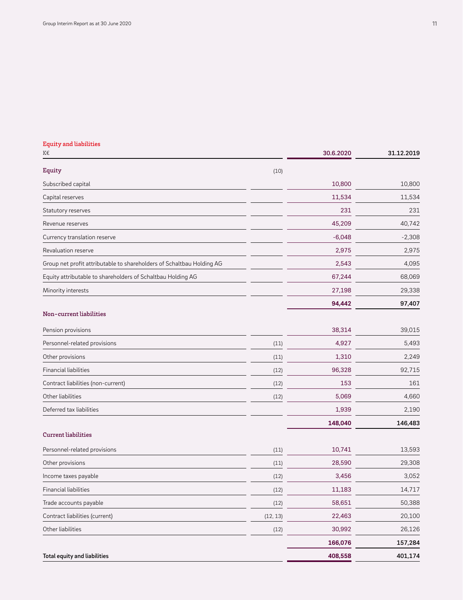# Equity and liabilities

| K€                                                                    |          | 30.6.2020 | 31.12.2019 |
|-----------------------------------------------------------------------|----------|-----------|------------|
| Equity                                                                | (10)     |           |            |
| Subscribed capital                                                    |          | 10,800    | 10,800     |
| Capital reserves                                                      |          | 11,534    | 11,534     |
| Statutory reserves                                                    |          | 231       | 231        |
| Revenue reserves                                                      |          | 45,209    | 40,742     |
| Currency translation reserve                                          |          | $-6,048$  | $-2,308$   |
| Revaluation reserve                                                   |          | 2,975     | 2,975      |
| Group net profit attributable to shareholders of Schaltbau Holding AG |          | 2,543     | 4,095      |
| Equity attributable to shareholders of Schaltbau Holding AG           |          | 67,244    | 68,069     |
| Minority interests                                                    |          | 27,198    | 29,338     |
|                                                                       |          | 94,442    | 97,407     |
| Non-current liabilities                                               |          |           |            |
| Pension provisions                                                    |          | 38,314    | 39,015     |
| Personnel-related provisions                                          | (11)     | 4,927     | 5,493      |
| Other provisions                                                      | (11)     | 1,310     | 2,249      |
| Financial liabilities                                                 | (12)     | 96,328    | 92,715     |
| Contract liabilities (non-current)                                    | (12)     | 153       | 161        |
| Other liabilities                                                     | (12)     | 5,069     | 4,660      |
| Deferred tax liabilities                                              |          | 1,939     | 2,190      |
|                                                                       |          | 148,040   | 146,483    |
| <b>Current liabilities</b>                                            |          |           |            |
| Personnel-related provisions                                          | (11)     | 10,741    | 13,593     |
| Other provisions                                                      | (11)     | 28,590    | 29,308     |
| Income taxes payable                                                  | (12)     | 3,456     | 3,052      |
| Financial liabilities                                                 | (12)     | 11,183    | 14,717     |
| Trade accounts payable                                                | (12)     | 58,651    | 50,388     |
| Contract liabilities (current)                                        | (12, 13) | 22,463    | 20,100     |
| Other liabilities                                                     | (12)     | 30,992    | 26,126     |
|                                                                       |          | 166,076   | 157,284    |
| Total equity and liabilities                                          |          | 408,558   | 401,174    |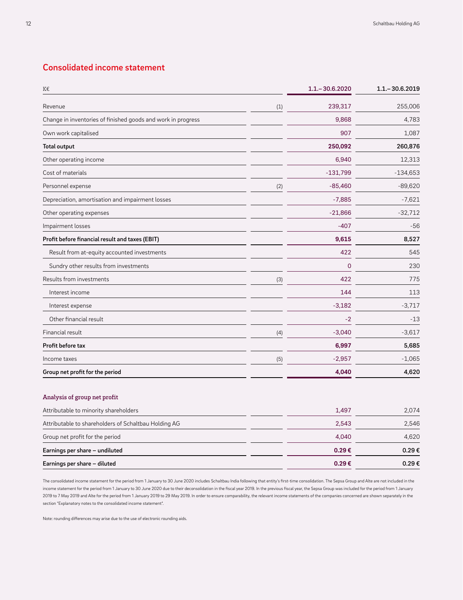# Consolidated income statement

| K€                                                           |     | $1.1 - 30.6.2020$ | $1.1 - 30.6.2019$ |
|--------------------------------------------------------------|-----|-------------------|-------------------|
| Revenue                                                      | (1) | 239,317           | 255,006           |
| Change in inventories of finished goods and work in progress |     | 9,868             | 4,783             |
| Own work capitalised                                         |     | 907               | 1,087             |
| <b>Total output</b>                                          |     | 250,092           | 260,876           |
| Other operating income                                       |     | 6,940             | 12,313            |
| Cost of materials                                            |     | $-131,799$        | $-134,653$        |
| Personnel expense                                            | (2) | $-85,460$         | $-89,620$         |
| Depreciation, amortisation and impairment losses             |     | $-7,885$          | $-7,621$          |
| Other operating expenses                                     |     | $-21,866$         | $-32,712$         |
| Impairment losses                                            |     | $-407$            | $-56$             |
| Profit before financial result and taxes (EBIT)              |     | 9,615             | 8,527             |
| Result from at-equity accounted investments                  |     | 422               | 545               |
| Sundry other results from investments                        |     | $\Omega$          | 230               |
| Results from investments                                     | (3) | 422               | 775               |
| Interest income                                              |     | 144               | 113               |
| Interest expense                                             |     | $-3,182$          | $-3,717$          |
| Other financial result                                       |     | $-2$              | $-13$             |
| Financial result                                             | (4) | $-3,040$          | $-3,617$          |
| Profit before tax                                            |     | 6,997             | 5,685             |
| Income taxes                                                 | (5) | $-2,957$          | $-1,065$          |
| Group net profit for the period                              |     | 4,040             | 4,620             |
|                                                              |     |                   |                   |

## Analysis of group net profit

| Attributable to minority shareholders                | 1.497      | 2,074      |
|------------------------------------------------------|------------|------------|
| Attributable to shareholders of Schaltbau Holding AG | 2.543      | 2,546      |
| Group net profit for the period                      | 4.040      | 4,620      |
| Earnings per share - undiluted                       | $0.29 \in$ | $0.29 \in$ |
| Earnings per share - diluted                         | $0.29 \in$ | $0.29 \in$ |

The consolidated income statement for the period from 1 January to 30 June 2020 includes Schaltbau India following that entity's first-time consolidation. The Sepsa Group and Alte are not included in the income statement for the period from 1 January to 30 June 2020 due to their deconsolidation in the fiscal year 2019. In the previous fiscal year, the Sepsa Group was included for the period from 1 January 2019 to 7 May 2019 and Alte for the period from 1 January 2019 to 29 May 2019. In order to ensure comparability, the relevant income statements of the companies concerned are shown separately in the section "Explanatory notes to the consolidated income statement".

Note: rounding differences may arise due to the use of electronic rounding aids.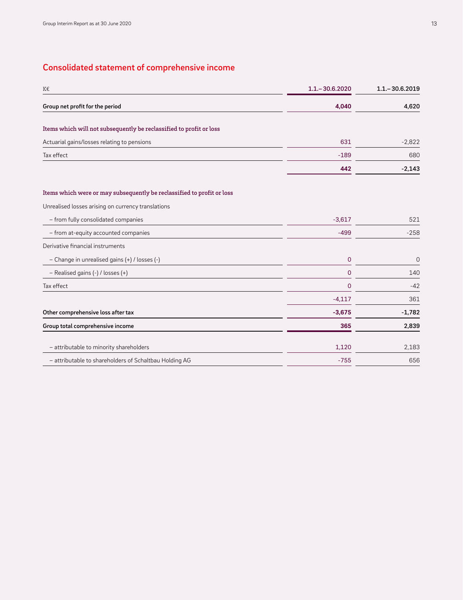# Consolidated statement of comprehensive income

| K€                                                                     | $1.1 - 30.6200$ | $1.1 - 30.6.2019$ |
|------------------------------------------------------------------------|-----------------|-------------------|
| Group net profit for the period                                        | 4,040           | 4,620             |
| Items which will not subsequently be reclassified to profit or loss    |                 |                   |
| Actuarial gains/losses relating to pensions                            | 631             | $-2,822$          |
| Tax effect                                                             | $-189$          | 680               |
|                                                                        | 442             | $-2,143$          |
| Items which were or may subsequently be reclassified to profit or loss |                 |                   |
| Unrealised losses arising on currency translations                     |                 |                   |
| - from fully consolidated companies                                    | $-3,617$        | 521               |
| - from at-equity accounted companies                                   | $-499$          | $-258$            |
| Derivative financial instruments                                       |                 |                   |
| - Change in unrealised gains (+) / losses (-)                          | $\mathbf 0$     | $\mathbf 0$       |
| - Realised gains (-) / losses (+)                                      | $\overline{0}$  | 140               |
| Tax effect                                                             | $\mathbf 0$     | $-42$             |
|                                                                        | $-4,117$        | 361               |
| Other comprehensive loss after tax                                     | $-3,675$        | $-1,782$          |
| Group total comprehensive income                                       | 365             | 2,839             |
| - attributable to minority shareholders                                | 1,120           | 2,183             |
| - attributable to shareholders of Schaltbau Holding AG                 | $-755$          | 656               |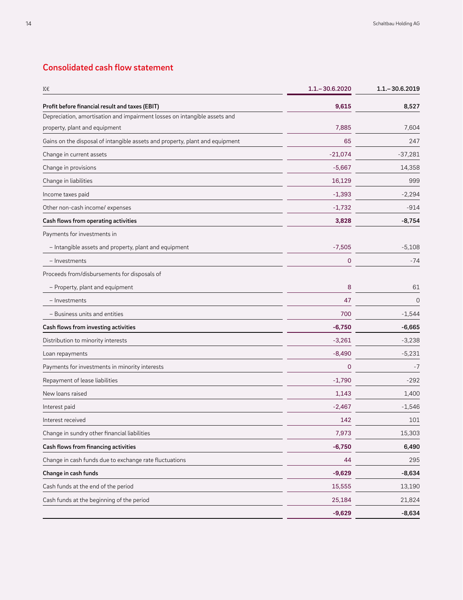# Consolidated cash flow statement

| K€                                                                           | $1.1 - 30.6.2020$ | $1.1 - 30.6.2019$ |
|------------------------------------------------------------------------------|-------------------|-------------------|
| Profit before financial result and taxes (EBIT)                              | 9,615             | 8,527             |
| Depreciation, amortisation and impairment losses on intangible assets and    |                   |                   |
| property, plant and equipment                                                | 7,885             | 7,604             |
| Gains on the disposal of intangible assets and property, plant and equipment | 65                | 247               |
| Change in current assets                                                     | $-21,074$         | $-37,281$         |
| Change in provisions                                                         | $-5,667$          | 14,358            |
| Change in liabilities                                                        | 16,129            | 999               |
| Income taxes paid                                                            | $-1,393$          | $-2,294$          |
| Other non-cash income/ expenses                                              | $-1,732$          | $-914$            |
| Cash flows from operating activities                                         | 3,828             | $-8,754$          |
| Payments for investments in                                                  |                   |                   |
| - Intangible assets and property, plant and equipment                        | $-7,505$          | $-5,108$          |
| - Investments                                                                | $\mathbf 0$       | $-74$             |
| Proceeds from/disbursements for disposals of                                 |                   |                   |
| - Property, plant and equipment                                              | 8                 | 61                |
| - Investments                                                                | 47                | 0                 |
| - Business units and entities                                                | 700               | $-1,544$          |
| Cash flows from investing activities                                         | $-6,750$          | $-6,665$          |
| Distribution to minority interests                                           | $-3,261$          | $-3,238$          |
| Loan repayments                                                              | $-8,490$          | $-5,231$          |
| Payments for investments in minority interests                               | $\mathbf 0$       | $-7$              |
| Repayment of lease liabilities                                               | $-1,790$          | $-292$            |
| New loans raised                                                             | 1,143             | 1,400             |
| Interest paid                                                                | $-2,467$          | $-1,546$          |
| Interest received                                                            | 142               | 101               |
| Change in sundry other financial liabilities                                 | 7,973             | 15,303            |
| Cash flows from financing activities                                         | $-6,750$          | 6,490             |
| Change in cash funds due to exchange rate fluctuations                       | 44                | 295               |
| Change in cash funds                                                         | $-9,629$          | $-8,634$          |
| Cash funds at the end of the period                                          | 15,555            | 13,190            |
| Cash funds at the beginning of the period                                    | 25,184            | 21,824            |
|                                                                              | $-9,629$          | $-8,634$          |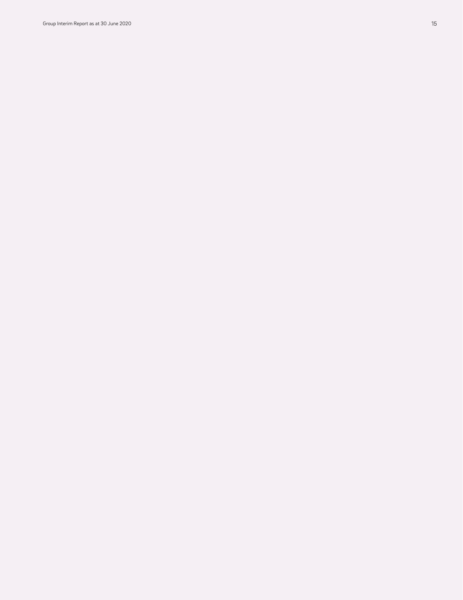Group Interim Report as at 30 June 2020 15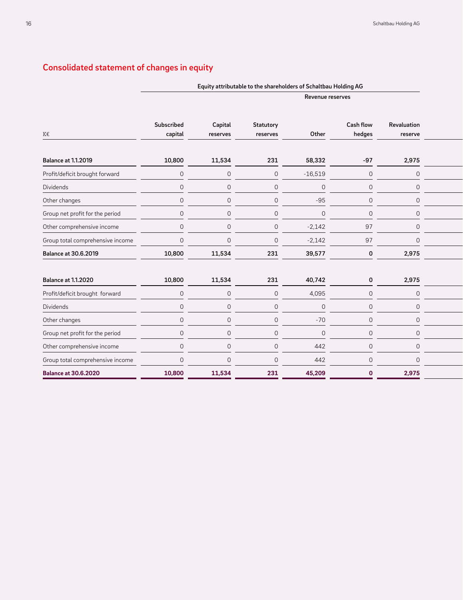# Consolidated statement of changes in equity

|                                  | Equity attributable to the shareholders of Schaltbau Holding AG |                     |                       |                  |                            |                        |  |
|----------------------------------|-----------------------------------------------------------------|---------------------|-----------------------|------------------|----------------------------|------------------------|--|
|                                  |                                                                 |                     |                       | Revenue reserves |                            |                        |  |
| $\mathrm{K}\mathbb{\in}$         | Subscribed<br>capital                                           | Capital<br>reserves | Statutory<br>reserves | Other            | <b>Cash flow</b><br>hedges | Revaluation<br>reserve |  |
| <b>Balance at 1.1.2019</b>       | 10,800                                                          | 11,534              | 231                   | 58,332           | $-97$                      | 2,975                  |  |
| Profit/deficit brought forward   | $\mathsf{O}$                                                    | $\circ$             | $\circ$               | $-16,519$        | $\mathsf{O}$               | $\mathbf{O}$           |  |
| Dividends                        | $\overline{0}$                                                  | $\overline{0}$      | $\circ$               | $\circ$          | $\circ$                    | $\overline{0}$         |  |
| Other changes                    | $\overline{0}$                                                  | $\circ$             | $\circ$               | $-95$            | $\circ$                    | $\circ$                |  |
| Group net profit for the period  | $\overline{0}$                                                  | $\overline{0}$      | $\overline{0}$        | $\circ$          | $\circ$                    | $\mathsf{O}$           |  |
| Other comprehensive income       | $\overline{0}$                                                  | $\circ$             | $\overline{0}$        | $-2,142$         | 97                         | $\overline{0}$         |  |
| Group total comprehensive income | $\mathsf{O}$                                                    | $\overline{0}$      | $\overline{0}$        | $-2,142$         | 97                         | $\circ$                |  |
| Balance at 30.6.2019             | 10,800                                                          | 11,534              | 231                   | 39,577           | $\mathbf 0$                | 2,975                  |  |
| <b>Balance at 1.1.2020</b>       | 10,800                                                          | 11,534              | 231                   | 40,742           | $\mathbf{0}$               | 2,975                  |  |
| Profit/deficit brought forward   | $\circ$                                                         | $\circ$             | $\overline{0}$        | 4,095            | $\circ$                    | $\overline{0}$         |  |
| Dividends                        | $\circ$                                                         | $\overline{0}$      | $\overline{0}$        | $\circ$          | $\circ$                    | $\overline{0}$         |  |
| Other changes                    | $\circ$                                                         | $\overline{0}$      | $\circ$               | $-70$            | $\circ$                    | $\mathsf{O}$           |  |
| Group net profit for the period  | $\overline{0}$                                                  | $\circ$             | $\circ$               | $\circ$          | $\circ$                    | $\overline{0}$         |  |
| Other comprehensive income       | $\circ$                                                         | $\overline{0}$      | $\circ$               | 442              | $\circ$                    | $\circ$                |  |
| Group total comprehensive income | $\circ$                                                         | $\circ$             | $\circ$               | 442              | $\circ$                    | $\mathbf{0}$           |  |
| <b>Balance at 30.6.2020</b>      | 10,800                                                          | 11,534              | 231                   | 45,209           | $\mathbf{0}$               | 2,975                  |  |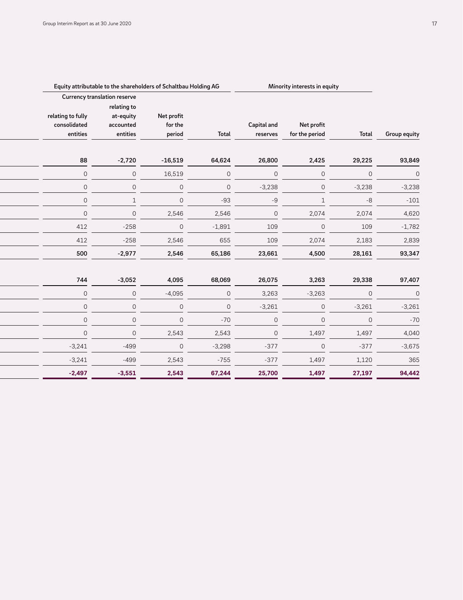|                     |              | Minority interests in equity |                |                | Equity attributable to the shareholders of Schaltbau Holding AG |                              |                                   |
|---------------------|--------------|------------------------------|----------------|----------------|-----------------------------------------------------------------|------------------------------|-----------------------------------|
|                     |              |                              |                |                |                                                                 | Currency translation reserve |                                   |
|                     |              |                              |                |                |                                                                 | relating to                  |                                   |
|                     |              | Net profit                   | Capital and    |                | Net profit<br>for the                                           | at-equity<br>accounted       | relating to fully<br>consolidated |
| <b>Group equity</b> | Total        | for the period               | reserves       | Total          | period                                                          | entities                     | entities                          |
|                     |              |                              |                |                |                                                                 |                              |                                   |
| 93,849              | 29,225       | 2,425                        | 26,800         | 64,624         | $-16,519$                                                       | $-2,720$                     | 88                                |
|                     | $\circ$      | $\circ$                      | $\circ$        | $\circ$        | 16,519                                                          | $\circ$                      | $\overline{0}$                    |
| $-3,238$            | $-3,238$     | $\mathsf{O}$                 | $-3,238$       | $\mathbf 0$    | $\circ$                                                         | $\circ$                      | $\overline{0}$                    |
| $-101$              | $-8$         | $\mathbf{1}$                 | $-9$           | $-93$          | $\overline{0}$                                                  | $\mathbf{1}$                 | $\overline{0}$                    |
| 4,620               | 2,074        | 2,074                        | $\overline{0}$ | 2,546          | 2,546                                                           | $\overline{0}$               | $\overline{0}$                    |
| $-1,782$            | 109          | $\circ$                      | 109            | $-1,891$       | $\circ$                                                         | $-258$                       | 412                               |
| 2,839               | 2,183        | 2,074                        | 109            | 655            | 2,546                                                           | $-258$                       | 412                               |
| 93,347              | 28,161       | 4,500                        | 23,661         | 65,186         | 2,546                                                           | $-2,977$                     | 500                               |
|                     |              |                              |                |                |                                                                 |                              |                                   |
| 97,407              | 29,338       | 3,263                        | 26,075         | 68,069         | 4,095                                                           | $-3,052$                     | 744                               |
|                     | $\mathsf{O}$ | $-3,263$                     | 3,263          | $\overline{O}$ | $-4,095$                                                        | $\circ$                      | $\overline{0}$                    |
| $-3,261$            | $-3,261$     | $\circ$                      | $-3,261$       | $\mathsf{O}$   | $\circ$                                                         | $\circ$                      | $\overline{O}$                    |
| $-70$               | $\circ$      | $\circ$                      | $\circ$        | $-70$          | $\overline{0}$                                                  | $\circ$                      | $\overline{0}$                    |
| 4,040               | 1,497        | 1,497                        | $\circ$        | 2,543          | 2,543                                                           | $\circ$                      | $\overline{0}$                    |
| $-3,675$            | $-377$       | $\circ$                      | $-377$         | $-3,298$       | $\circ$                                                         | $-499$                       | $-3,241$                          |
| 365                 | 1,120        | 1,497                        | $-377$         | $-755$         | 2,543                                                           | $-499$                       | $-3,241$                          |
| 94,442              | 27,197       | 1,497                        | 25,700         | 67,244         | 2,543                                                           | $-3,551$                     | $-2,497$                          |
|                     |              |                              |                |                |                                                                 |                              |                                   |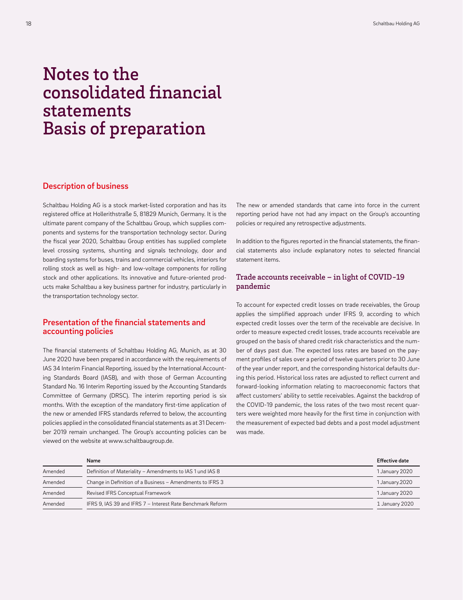# Notes to the consolidated financial statements Basis of preparation

# Description of business

Schaltbau Holding AG is a stock market-listed corporation and has its registered office at Hollerithstraße 5, 81829 Munich, Germany. It is the ultimate parent company of the Schaltbau Group, which supplies components and systems for the transportation technology sector. During the fiscal year 2020, Schaltbau Group entities has supplied complete level crossing systems, shunting and signals technology, door and boarding systems for buses, trains and commercial vehicles, interiors for rolling stock as well as high- and low-voltage components for rolling stock and other applications. Its innovative and future-oriented products make Schaltbau a key business partner for industry, particularly in the transportation technology sector.

# Presentation of the financial statements and accounting policies

The financial statements of Schaltbau Holding AG, Munich, as at 30 June 2020 have been prepared in accordance with the requirements of IAS 34 Interim Financial Reporting, issued by the International Accounting Standards Board (IASB), and with those of German Accounting Standard No. 16 Interim Reporting issued by the Accounting Standards Committee of Germany (DRSC). The interim reporting period is six months. With the exception of the mandatory first-time application of the new or amended IFRS standards referred to below, the accounting policies applied in the consolidated financial statements as at 31 December 2019 remain unchanged. The Group's accounting policies can be viewed on the website at www.schaltbaugroup.de.

The new or amended standards that came into force in the current reporting period have not had any impact on the Group's accounting policies or required any retrospective adjustments.

In addition to the figures reported in the financial statements, the financial statements also include explanatory notes to selected financial statement items.

# Trade accounts receivable – in light of COVID-19 pandemic

To account for expected credit losses on trade receivables, the Group applies the simplified approach under IFRS 9, according to which expected credit losses over the term of the receivable are decisive. In order to measure expected credit losses, trade accounts receivable are grouped on the basis of shared credit risk characteristics and the number of days past due. The expected loss rates are based on the payment profiles of sales over a period of twelve quarters prior to 30 June of the year under report, and the corresponding historical defaults during this period. Historical loss rates are adjusted to reflect current and forward-looking information relating to macroeconomic factors that affect customers' ability to settle receivables. Against the backdrop of the COVID-19 pandemic, the loss rates of the two most recent quarters were weighted more heavily for the first time in conjunction with the measurement of expected bad debts and a post model adjustment was made.

|         | Name                                                       | <b>Effective date</b> |
|---------|------------------------------------------------------------|-----------------------|
| Amended | Definition of Materiality - Amendments to IAS 1 und IAS 8  | 1 January 2020        |
| Amended | Change in Definition of a Business - Amendments to IFRS 3  | 1 January.2020        |
| Amended | Revised IFRS Conceptual Framework                          | 1 January 2020        |
| Amended | IFRS 9, IAS 39 and IFRS 7 - Interest Rate Benchmark Reform | 1 January 2020        |
|         |                                                            |                       |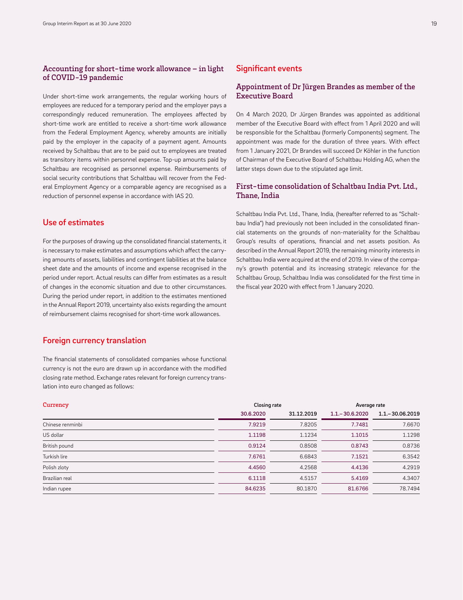# Accounting for short-time work allowance – in light of COVID-19 pandemic

Under short-time work arrangements, the regular working hours of employees are reduced for a temporary period and the employer pays a correspondingly reduced remuneration. The employees affected by short-time work are entitled to receive a short-time work allowance from the Federal Employment Agency, whereby amounts are initially paid by the employer in the capacity of a payment agent. Amounts received by Schaltbau that are to be paid out to employees are treated as transitory items within personnel expense. Top-up amounts paid by Schaltbau are recognised as personnel expense. Reimbursements of social security contributions that Schaltbau will recover from the Federal Employment Agency or a comparable agency are recognised as a reduction of personnel expense in accordance with IAS 20.

# Use of estimates

For the purposes of drawing up the consolidated financial statements, it is necessary to make estimates and assumptions which affect the carrying amounts of assets, liabilities and contingent liabilities at the balance sheet date and the amounts of income and expense recognised in the period under report. Actual results can differ from estimates as a result of changes in the economic situation and due to other circumstances. During the period under report, in addition to the estimates mentioned in the Annual Report 2019, uncertainty also exists regarding the amount of reimbursement claims recognised for short-time work allowances.

# Foreign currency translation

The financial statements of consolidated companies whose functional currency is not the euro are drawn up in accordance with the modified closing rate method. Exchange rates relevant for foreign currency translation into euro changed as follows:

# Significant events

# Appointment of Dr Jürgen Brandes as member of the Executive Board

On 4 March 2020, Dr Jürgen Brandes was appointed as additional member of the Executive Board with effect from 1 April 2020 and will be responsible for the Schaltbau (formerly Components) segment. The appointment was made for the duration of three years. With effect from 1 January 2021, Dr Brandes will succeed Dr Köhler in the function of Chairman of the Executive Board of Schaltbau Holding AG, when the latter steps down due to the stipulated age limit.

# First-time consolidation of Schaltbau India Pvt. Ltd., Thane, India

Schaltbau India Pvt. Ltd., Thane, India, (hereafter referred to as "Schaltbau India") had previously not been included in the consolidated financial statements on the grounds of non-materiality for the Schaltbau Group's results of operations, financial and net assets position. As described in the Annual Report 2019, the remaining minority interests in Schaltbau India were acquired at the end of 2019. In view of the company's growth potential and its increasing strategic relevance for the Schaltbau Group, Schaltbau India was consolidated for the first time in the fiscal year 2020 with effect from 1 January 2020.

| Currency         |           | Closing rate |                   | Average rate       |  |
|------------------|-----------|--------------|-------------------|--------------------|--|
|                  | 30.6.2020 | 31.12.2019   | $1.1 - 30.6.2020$ | $1.1 - 30.06.2019$ |  |
| Chinese renminbi | 7.9219    | 7.8205       | 7.7481            | 7.6670             |  |
| US dollar        | 1.1198    | 1.1234       | 1.1015            | 1.1298             |  |
| British pound    | 0.9124    | 0.8508       | 0.8743            | 0.8736             |  |
| Turkish lire     | 7.6761    | 6.6843       | 7.1521            | 6.3542             |  |
| Polish zloty     | 4.4560    | 4.2568       | 4.4136            | 4.2919             |  |
| Brazilian real   | 6.1118    | 4.5157       | 5.4169            | 4.3407             |  |
| Indian rupee     | 84.6235   | 80.1870      | 81.6766           | 78.7494            |  |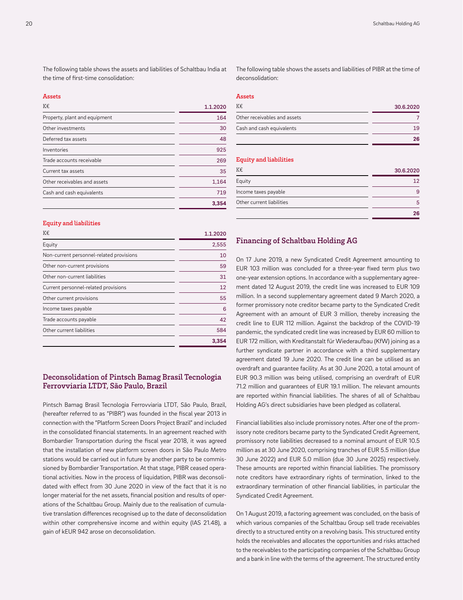The following table shows the assets and liabilities of Schaltbau India at the time of first-time consolidation:

#### **A**ssets

| K€                            | 1.1.2020 |
|-------------------------------|----------|
| Property, plant and equipment | 164      |
| Other investments             | 30       |
| Deferred tax assets           | 48       |
| Inventories                   | 925      |
| Trade accounts receivable     | 269      |
| Current tax assets            | 35       |
| Other receivables and assets  | 1,164    |
| Cash and cash equivalents     | 719      |
|                               | 3.354    |

#### Equity and liabilities

| K€                                       | 1.1.2020 |
|------------------------------------------|----------|
| Equity                                   | 2,555    |
| Non-current personnel-related provisions | 10       |
| Other non-current provisions             | 59       |
| Other non-current liabilities            | 31       |
| Current personnel-related provisions     | 12       |
| Other current provisions                 | 55       |
| Income taxes payable                     | 6        |
| Trade accounts payable                   | 42       |
| Other current liabilities                | 584      |
|                                          | 3.354    |

# Deconsolidation of Pintsch Bamag Brasil Tecnologia Ferrovviaria LTDT, São Paulo, Brazil

Pintsch Bamag Brasil Tecnologia Ferrovviaria LTDT, São Paulo, Brazil, (hereafter referred to as "PIBR") was founded in the fiscal year 2013 in connection with the "Platform Screen Doors Project Brazil" and included in the consolidated financial statements. In an agreement reached with Bombardier Transportation during the fiscal year 2018, it was agreed that the installation of new platform screen doors in São Paulo Metro stations would be carried out in future by another party to be commissioned by Bombardier Transportation. At that stage, PIBR ceased operational activities. Now in the process of liquidation, PIBR was deconsolidated with effect from 30 June 2020 in view of the fact that it is no longer material for the net assets, financial position and results of operations of the Schaltbau Group. Mainly due to the realisation of cumulative translation differences recognised up to the date of deconsolidation within other comprehensive income and within equity (IAS 21.48), a gain of kEUR 942 arose on deconsolidation.

The following table shows the assets and liabilities of PIBR at the time of deconsolidation:

#### Assets

| Κ€                           | 30.6.2020 |
|------------------------------|-----------|
| Other receivables and assets |           |
| Cash and cash equivalents    | 19        |
|                              | 26        |

#### Equity and liabilities

| K€                        | 30.6.2020 |
|---------------------------|-----------|
| Equity                    | 12        |
| Income taxes payable      | 9         |
| Other current liabilities | 5         |
|                           | 26        |

#### Financing of Schaltbau Holding AG

On 17 June 2019, a new Syndicated Credit Agreement amounting to EUR 103 million was concluded for a three-year fixed term plus two one-year extension options. In accordance with a supplementary agreement dated 12 August 2019, the credit line was increased to EUR 109 million. In a second supplementary agreement dated 9 March 2020, a former promissory note creditor became party to the Syndicated Credit Agreement with an amount of EUR 3 million, thereby increasing the credit line to EUR 112 million. Against the backdrop of the COVID-19 pandemic, the syndicated credit line was increased by EUR 60 million to EUR 172 million, with Kreditanstalt für Wiederaufbau (KfW) joining as a further syndicate partner in accordance with a third supplementary agreement dated 19 June 2020. The credit line can be utilised as an overdraft and guarantee facility. As at 30 June 2020, a total amount of EUR 90.3 million was being utilised, comprising an overdraft of EUR 71.2 million and guarantees of EUR 19.1 million. The relevant amounts are reported within financial liabilities. The shares of all of Schaltbau Holding AG's direct subsidiaries have been pledged as collateral.

Financial liabilities also include promissory notes. After one of the promissory note creditors became party to the Syndicated Credit Agreement, promissory note liabilities decreased to a nominal amount of EUR 10.5 million as at 30 June 2020, comprising tranches of EUR 5.5 million (due 30 June 2022) and EUR 5.0 million (due 30 June 2025) respectively. These amounts are reported within financial liabilities. The promissory note creditors have extraordinary rights of termination, linked to the extraordinary termination of other financial liabilities, in particular the Syndicated Credit Agreement.

On 1 August 2019, a factoring agreement was concluded, on the basis of which various companies of the Schaltbau Group sell trade receivables directly to a structured entity on a revolving basis. This structured entity holds the receivables and allocates the opportunities and risks attached to the receivables to the participating companies of the Schaltbau Group and a bank in line with the terms of the agreement. The structured entity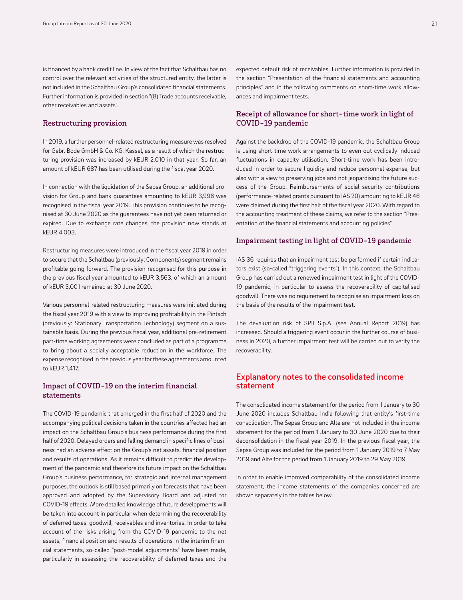is financed by a bank credit line. In view of the fact that Schaltbau has no control over the relevant activities of the structured entity, the latter is not included in the Schaltbau Group's consolidated financial statements. Further information is provided in section "(8) Trade accounts receivable, other receivables and assets".

#### Restructuring provision

In 2019, a further personnel-related restructuring measure was resolved for Gebr. Bode GmbH & Co. KG, Kassel, as a result of which the restructuring provision was increased by kEUR 2,010 in that year. So far, an amount of kEUR 687 has been utilised during the fiscal year 2020.

In connection with the liquidation of the Sepsa Group, an additional provision for Group and bank guarantees amounting to kEUR 3,996 was recognised in the fiscal year 2019. This provision continues to be recognised at 30 June 2020 as the guarantees have not yet been returned or expired. Due to exchange rate changes, the provision now stands at kEUR 4,003.

Restructuring measures were introduced in the fiscal year 2019 in order to secure that the Schaltbau (previously: Components) segment remains profitable going forward. The provision recognised for this purpose in the previous fiscal year amounted to kEUR 3,563, of which an amount of kEUR 3,001 remained at 30 June 2020.

Various personnel-related restructuring measures were initiated during the fiscal year 2019 with a view to improving profitability in the Pintsch (previously: Stationary Transportation Technology) segment on a sustainable basis. During the previous fiscal year, additional pre-retirement part-time working agreements were concluded as part of a programme to bring about a socially acceptable reduction in the workforce. The expense recognised in the previous year for these agreements amounted to kEUR 1,417.

# Impact of COVID-19 on the interim financial statements

The COVID-19 pandemic that emerged in the first half of 2020 and the accompanying political decisions taken in the countries affected had an impact on the Schaltbau Group's business performance during the first half of 2020. Delayed orders and falling demand in specific lines of business had an adverse effect on the Group's net assets, financial position and results of operations. As it remains difficult to predict the development of the pandemic and therefore its future impact on the Schaltbau Group's business performance, for strategic and internal management purposes, the outlook is still based primarily on forecasts that have been approved and adopted by the Supervisory Board and adjusted for COVID-19 effects. More detailed knowledge of future developments will be taken into account in particular when determining the recoverability of deferred taxes, goodwill, receivables and inventories. In order to take account of the risks arising from the COVID-19 pandemic to the net assets, financial position and results of operations in the interim financial statements, so-called "post-model adjustments" have been made, particularly in assessing the recoverability of deferred taxes and the

expected default risk of receivables. Further information is provided in the section "Presentation of the financial statements and accounting principles" and in the following comments on short-time work allowances and impairment tests.

# Receipt of allowance for short-time work in light of COVID-19 pandemic

Against the backdrop of the COVID-19 pandemic, the Schaltbau Group is using short-time work arrangements to even out cyclically induced fluctuations in capacity utilisation. Short-time work has been introduced in order to secure liquidity and reduce personnel expense, but also with a view to preserving jobs and not jeopardising the future success of the Group. Reimbursements of social security contributions (performance-related grants pursuant to IAS 20) amounting to kEUR 46 were claimed during the first half of the fiscal year 2020. With regard to the accounting treatment of these claims, we refer to the section "Presentation of the financial statements and accounting policies".

#### Impairment testing in light of COVID-19 pandemic

IAS 36 requires that an impairment test be performed if certain indicators exist (so-called "triggering events"). In this context, the Schaltbau Group has carried out a renewed impairment test in light of the COVID-19 pandemic, in particular to assess the recoverability of capitalised goodwill. There was no requirement to recognise an impairment loss on the basis of the results of the impairment test.

The devaluation risk of SPII S.p.A. (see Annual Report 2019) has increased. Should a triggering event occur in the further course of business in 2020, a further impairment test will be carried out to verify the recoverability.

# Explanatory notes to the consolidated income statement

The consolidated income statement for the period from 1 January to 30 June 2020 includes Schaltbau India following that entity's first-time consolidation. The Sepsa Group and Alte are not included in the income statement for the period from 1 January to 30 June 2020 due to their deconsolidation in the fiscal year 2019. In the previous fiscal year, the Sepsa Group was included for the period from 1 January 2019 to 7 May 2019 and Alte for the period from 1 January 2019 to 29 May 2019.

In order to enable improved comparability of the consolidated income statement, the income statements of the companies concerned are shown separately in the tables below.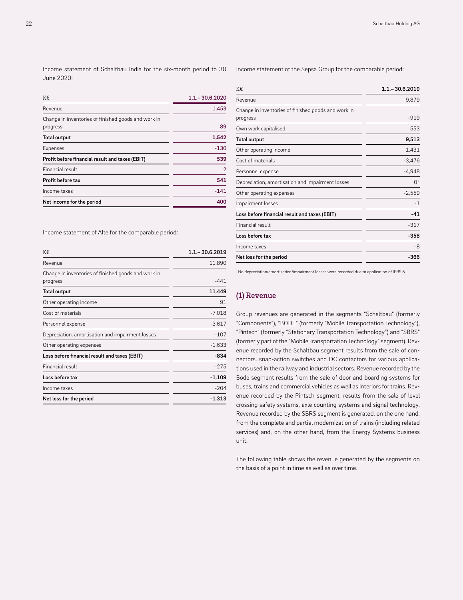Income statement of Schaltbau India for the six-month period to 30 June 2020:

Income statement of the Sepsa Group for the comparable period:

| K€                                                              | $1.1 - 30.6.2020$ |
|-----------------------------------------------------------------|-------------------|
| Revenue                                                         | 1,453             |
| Change in inventories of finished goods and work in<br>progress | 89                |
| Total output                                                    | 1,542             |
| Expenses                                                        | $-130$            |
| Profit before financial result and taxes (EBIT)                 | 539               |
| Financial result                                                | $\overline{2}$    |
| Profit before tax                                               | 541               |
| Income taxes                                                    | $-141$            |
| Net income for the period                                       | 400               |

Income statement of Alte for the comparable period:

| K€                                                              | 1.1. - 30.6.2019 |
|-----------------------------------------------------------------|------------------|
| Revenue                                                         | 11,890           |
| Change in inventories of finished goods and work in<br>progress | $-441$           |
| Total output                                                    | 11,449           |
| Other operating income                                          | 91               |
| Cost of materials                                               | $-7,018$         |
| Personnel expense                                               | $-3,617$         |
| Depreciation, amortisation and impairment losses                | $-107$           |
| Other operating expenses                                        | $-1,633$         |
| Loss before financial result and taxes (EBIT)                   | $-834$           |
| Financial result                                                | $-275$           |
| Loss before tax                                                 | $-1,109$         |
| Income taxes                                                    | $-204$           |
| Net loss for the period                                         | $-1,313$         |

| $1.1 - 30.6.2019$ |
|-------------------|
| 9,879             |
| $-919$            |
| 553               |
| 9,513             |
| 1,431             |
| $-3,476$          |
| $-4,948$          |
| 0 <sup>1</sup>    |
| $-2,559$          |
| $-1$              |
| $-41$             |
| $-317$            |
| $-358$            |
| -8                |
| $-366$            |
|                   |

1 No depreciation/amortisation/impairment losses were recorded due to application of IFRS 5

# (1) Revenue

Group revenues are generated in the segments "Schaltbau" (formerly "Components"), "BODE" (formerly "Mobile Transportation Technology"), "Pintsch" (formerly "Stationary Transportation Technology") and "SBRS" (formerly part of the "Mobile Transportation Technology" segment). Revenue recorded by the Schaltbau segment results from the sale of connectors, snap-action switches and DC contactors for various applications used in the railway and industrial sectors. Revenue recorded by the Bode segment results from the sale of door and boarding systems for buses, trains and commercial vehicles as well as interiors for trains. Revenue recorded by the Pintsch segment, results from the sale of level crossing safety systems, axle counting systems and signal technology. Revenue recorded by the SBRS segment is generated, on the one hand, from the complete and partial modernization of trains (including related services) and, on the other hand, from the Energy Systems business unit.

The following table shows the revenue generated by the segments on the basis of a point in time as well as over time.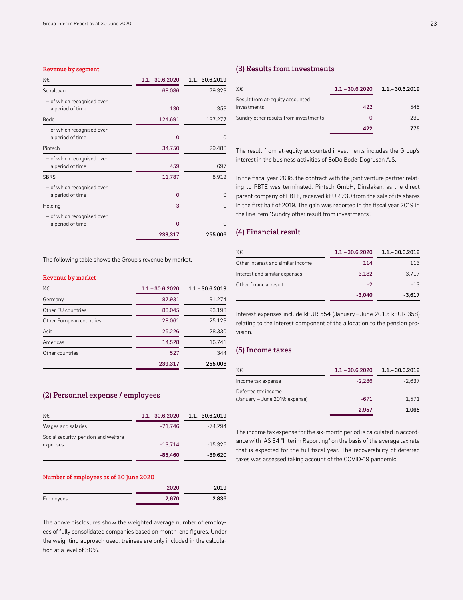#### Revenue by segment

| K€                                             | $1.1 - 30.6.2020$ | $1.1 - 30.6.2019$ |
|------------------------------------------------|-------------------|-------------------|
| Schaltbau                                      | 68,086            | 79,329            |
| - of which recognised over<br>a period of time | 130               | 353               |
| Bode                                           | 124,691           | 137,277           |
| - of which recognised over<br>a period of time | 0                 | 0                 |
| Pintsch                                        | 34,750            | 29,488            |
| - of which recognised over<br>a period of time | 459               | 697               |
| <b>SBRS</b>                                    | 11,787            | 8,912             |
| - of which recognised over<br>a period of time | 0                 | 0                 |
| Holding                                        | 3                 | 0                 |
| - of which recognised over<br>a period of time | $\Omega$          | Ω                 |
|                                                | 239,317           | 255,006           |
|                                                |                   |                   |

The following table shows the Group's revenue by market.

#### Revenue by market

| K€                       | $1.1 - 30.6.2020$ | $1.1 - 30.6.2019$ |
|--------------------------|-------------------|-------------------|
| Germany                  | 87,931            | 91,274            |
| Other EU countries       | 83,045            | 93,193            |
| Other European countries | 28,061            | 25,123            |
| Asia                     | 25,226            | 28,330            |
| Americas                 | 14,528            | 16,741            |
| Other countries          | 527               | 344               |
|                          | 239,317           | 255,006           |

# (2) Personnel expense / employees

| K€                                   | $1.1 - 30.6200$ | $1.1 - 30.6.2019$ |
|--------------------------------------|-----------------|-------------------|
| Wages and salaries                   | $-71,746$       | $-74.294$         |
| Social security, pension and welfare |                 |                   |
| expenses                             | $-13.714$       | $-15,326$         |
|                                      | $-85,460$       | $-89.620$         |

#### Number of employees as of 30 June 2020

|           | 2020  | 2019  |
|-----------|-------|-------|
| Employees | 2,670 | 2,836 |

The above disclosures show the weighted average number of employees of fully consolidated companies based on month-end figures. Under the weighting approach used, trainees are only included in the calculation at a level of 30%.

# (3) Results from investments

| K€                                             | $1.1 - 30.6.2020$ | $1.1 - 30.6.2019$ |
|------------------------------------------------|-------------------|-------------------|
| Result from at-equity accounted<br>investments | 422               | 545               |
| Sundry other results from investments          | O                 | 230               |
|                                                | 422               | 775               |

The result from at-equity accounted investments includes the Group's interest in the business activities of BoDo Bode-Dogrusan A.S.

In the fiscal year 2018, the contract with the joint venture partner relating to PBTE was terminated. Pintsch GmbH, Dinslaken, as the direct parent company of PBTE, received kEUR 230 from the sale of its shares in the first half of 2019. The gain was reported in the fiscal year 2019 in the line item "Sundry other result from investments".

#### (4) Financial result

| K€                                | $1.1 - 30.6.2020$ | $1.1 - 30.6.2019$ |
|-----------------------------------|-------------------|-------------------|
| Other interest and similar income | 114               | 113               |
| Interest and similar expenses     | $-3,182$          | $-3.717$          |
| Other financial result            | $-2$              | $-1.3$            |
|                                   | $-3,040$          | $-3.617$          |

Interest expenses include kEUR 554 (January–June 2019: kEUR 358) relating to the interest component of the allocation to the pension provision.

## (5) Income taxes

| K€                             | $1.1 - 30.6.2020$ | $1.1 - 30.6.2019$ |
|--------------------------------|-------------------|-------------------|
| Income tax expense             | $-2.286$          | -2.637            |
| Deferred tax income            |                   |                   |
| (January - June 2019: expense) | $-671$            | 1.571             |
|                                | $-2.957$          | -1.065            |

The income tax expense for the six-month period is calculated in accordance with IAS 34 "Interim Reporting" on the basis of the average tax rate that is expected for the full fiscal year. The recoverability of deferred taxes was assessed taking account of the COVID-19 pandemic.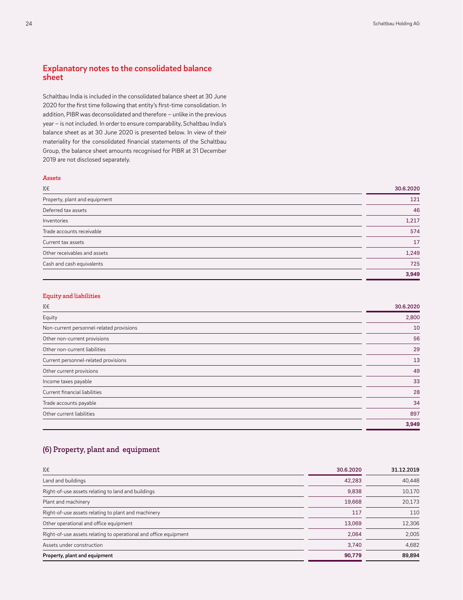# Explanatory notes to the consolidated balance sheet

Schaltbau India is included in the consolidated balance sheet at 30 June 2020 for the first time following that entity's first-time consolidation. In addition, PIBR was deconsolidated and therefore – unlike in the previous year – is not included. In order to ensure comparability, Schaltbau India's balance sheet as at 30 June 2020 is presented below. In view of their materiality for the consolidated financial statements of the Schaltbau Group, the balance sheet amounts recognised for PIBR at 31 December 2019 are not disclosed separately.

#### Assets

| K€                            | 30.6.2020 |
|-------------------------------|-----------|
| Property, plant and equipment | 121       |
| Deferred tax assets           | 46        |
| Inventories                   | 1,217     |
| Trade accounts receivable     | 574       |
| Current tax assets            | 17        |
| Other receivables and assets  | 1,249     |
| Cash and cash equivalents     | 725       |
|                               | 3,949     |

## Equity and liabilities

| K€                                       | 30.6.2020 |
|------------------------------------------|-----------|
| Equity                                   | 2,800     |
| Non-current personnel-related provisions | 10        |
| Other non-current provisions             | 56        |
| Other non-current liabilities            | 29        |
| Current personnel-related provisions     | 13        |
| Other current provisions                 | 49        |
| Income taxes payable                     | 33        |
| Current financial liabilities            | 28        |
| Trade accounts payable                   | 34        |
| Other current liabilities                | 897       |
|                                          | 3,949     |

# (6) Property, plant and equipment

| K€                                                               | 30.6.2020 | 31.12.2019 |
|------------------------------------------------------------------|-----------|------------|
| Land and buildings                                               | 42,283    | 40,448     |
| Right-of-use assets relating to land and buildings               | 9,838     | 10,170     |
| Plant and machinery                                              | 19,668    | 20,173     |
| Right-of-use assets relating to plant and machinery              | 117       | 110        |
| Other operational and office equipment                           | 13,069    | 12,306     |
| Right-of-use assets relating to operational and office equipment | 2,064     | 2,005      |
| Assets under construction                                        | 3,740     | 4,682      |
| Property, plant and equipment                                    | 90.779    | 89,894     |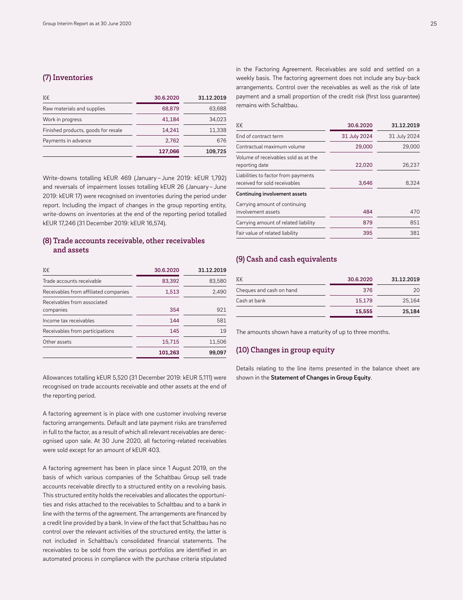#### (7) Inventories

| K€.                                 | 30.6.2020 | 31.12.2019 |
|-------------------------------------|-----------|------------|
| Raw materials and supplies          | 68,879    | 63.688     |
| Work in progress                    | 41.184    | 34.023     |
| Finished products, goods for resale | 14.241    | 11.338     |
| Payments in advance                 | 2.762     | 676        |
|                                     | 127,066   | 109,725    |

Write-downs totalling kEUR 469 (January–June 2019: kEUR 1,792) and reversals of impairment losses totalling kEUR 26 (January–June 2019: kEUR 17) were recognised on inventories during the period under report. Including the impact of changes in the group reporting entity, write-downs on inventories at the end of the reporting period totalled kEUR 17,246 (31 December 2019: kEUR 16,574).

# (8) Trade accounts receivable, other receivables and assets

| K€.                                   | 30.6.2020 | 31.12.2019 |
|---------------------------------------|-----------|------------|
| Trade accounts receivable             | 83,392    | 83,580     |
| Receivables from affiliated companies | 1,513     | 2,490      |
| Receivables from associated           |           |            |
| companies                             | 354       | 921        |
| Income tax receivables                | 144       | 581        |
| Receivables from participations       | 145       | 19         |
| Other assets                          | 15,715    | 11,506     |
|                                       | 101,263   | 99,097     |

Allowances totalling kEUR 5,520 (31 December 2019: kEUR 5,111) were recognised on trade accounts receivable and other assets at the end of the reporting period.

A factoring agreement is in place with one customer involving reverse factoring arrangements. Default and late payment risks are transferred in full to the factor, as a result of which all relevant receivables are derecognised upon sale. At 30 June 2020, all factoring-related receivables were sold except for an amount of kEUR 403.

A factoring agreement has been in place since 1 August 2019, on the basis of which various companies of the Schaltbau Group sell trade accounts receivable directly to a structured entity on a revolving basis. This structured entity holds the receivables and allocates the opportunities and risks attached to the receivables to Schaltbau and to a bank in line with the terms of the agreement. The arrangements are financed by a credit line provided by a bank. In view of the fact that Schaltbau has no control over the relevant activities of the structured entity, the latter is not included in Schaltbau's consolidated financial statements. The receivables to be sold from the various portfolios are identified in an automated process in compliance with the purchase criteria stipulated

in the Factoring Agreement. Receivables are sold and settled on a weekly basis. The factoring agreement does not include any buy-back arrangements. Control over the receivables as well as the risk of late payment and a small proportion of the credit risk (first loss guarantee) remains with Schaltbau.

| K€.                                                                  | 30.6.2020    | 31.12.2019   |
|----------------------------------------------------------------------|--------------|--------------|
| End of contract term                                                 | 31 July 2024 | 31 July 2024 |
| Contractual maximum volume                                           | 29,000       | 29,000       |
| Volume of receivables sold as at the<br>reporting date               | 22,020       | 26,237       |
| Liabilities to factor from payments<br>received for sold receivables | 3,646        | 8,324        |
| Continuing involvement assets                                        |              |              |
| Carrying amount of continuing<br>involvement assets                  | 484          | 470          |
| Carrying amount of related liability                                 | 879          | 851          |
| Fair value of related liability                                      | 395          | 381          |

#### (9) Cash and cash equivalents

| K€                       | 30.6.2020 | 31.12.2019 |
|--------------------------|-----------|------------|
| Cheques and cash on hand | 376       | 20         |
| Cash at bank             | 15.179    | 25.164     |
|                          | 15,555    | 25.184     |

The amounts shown have a maturity of up to three months.

#### (10) Changes in group equity

Details relating to the line items presented in the balance sheet are shown in the Statement of Changes in Group Equity.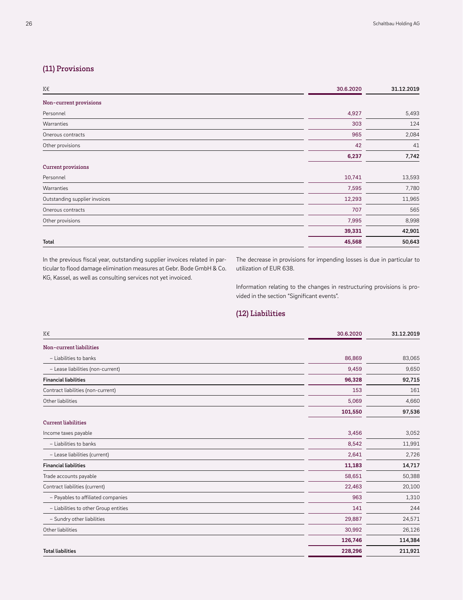# (11) Provisions

| K€                            | 30.6.2020 | 31.12.2019 |
|-------------------------------|-----------|------------|
| Non-current provisions        |           |            |
| Personnel                     | 4,927     | 5,493      |
| Warranties                    | 303       | 124        |
| Onerous contracts             | 965       | 2,084      |
| Other provisions              | 42        | 41         |
|                               | 6,237     | 7,742      |
| Current provisions            |           |            |
| Personnel                     | 10,741    | 13,593     |
| Warranties                    | 7,595     | 7,780      |
| Outstanding supplier invoices | 12,293    | 11,965     |
| Onerous contracts             | 707       | 565        |
| Other provisions              | 7,995     | 8,998      |
|                               | 39,331    | 42,901     |
| Total                         | 45,568    | 50,643     |

In the previous fiscal year, outstanding supplier invoices related in particular to flood damage elimination measures at Gebr. Bode GmbH & Co. KG, Kassel, as well as consulting services not yet invoiced.

The decrease in provisions for impending losses is due in particular to utilization of EUR 638.

Information relating to the changes in restructuring provisions is provided in the section "Significant events".

# (12) Liabilities

| K€                                    | 30.6.2020 | 31.12.2019 |
|---------------------------------------|-----------|------------|
| Non-current liabilities               |           |            |
| - Liabilities to banks                | 86,869    | 83,065     |
| - Lease liabilities (non-current)     | 9,459     | 9,650      |
| <b>Financial liabilities</b>          | 96,328    | 92,715     |
| Contract liabilities (non-current)    | 153       | 161        |
| Other liabilities                     | 5,069     | 4,660      |
|                                       | 101,550   | 97,536     |
| <b>Current liabilities</b>            |           |            |
| Income taxes payable                  | 3,456     | 3,052      |
| - Liabilities to banks                | 8,542     | 11,991     |
| - Lease liabilities (current)         | 2,641     | 2,726      |
| <b>Financial liabilities</b>          | 11,183    | 14,717     |
| Trade accounts payable                | 58,651    | 50,388     |
| Contract liabilities (current)        | 22,463    | 20,100     |
| - Payables to affiliated companies    | 963       | 1,310      |
| - Liabilities to other Group entities | 141       | 244        |
| - Sundry other liabilities            | 29,887    | 24,571     |
| Other liabilities                     | 30,992    | 26,126     |
|                                       | 126,746   | 114,384    |
| <b>Total liabilities</b>              | 228,296   | 211,921    |
|                                       |           |            |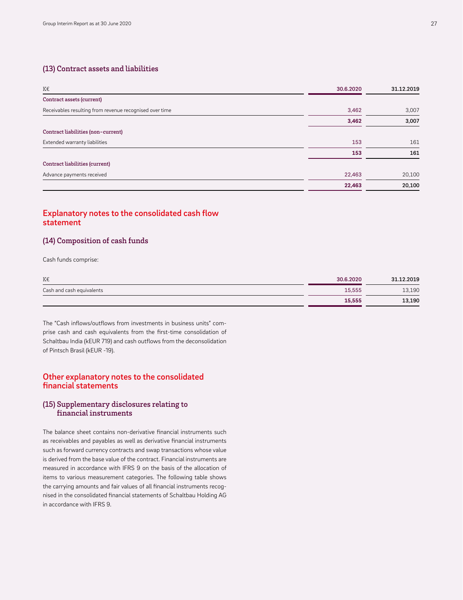# (13) Contract assets and liabilities

| K€                                                      | 30.6.2020 | 31.12.2019 |
|---------------------------------------------------------|-----------|------------|
| Contract assets (current)                               |           |            |
| Receivables resulting from revenue recognised over time | 3,462     | 3,007      |
|                                                         | 3,462     | 3,007      |
| Contract liabilities (non-current)                      |           |            |
| Extended warranty liabilities                           | 153       | 161        |
|                                                         | 153       | 161        |
| Contract liabilities (current)                          |           |            |
| Advance payments received                               | 22,463    | 20,100     |
|                                                         | 22,463    | 20,100     |

# Explanatory notes to the consolidated cash flow statement

# (14) Composition of cash funds

Cash funds comprise:

| K€                        | 30.6.2020 | 31.12.2019 |
|---------------------------|-----------|------------|
| Cash and cash equivalents | 15,555    | 13,190     |
|                           | 15,555    | 13,190     |

The "Cash inflows/outflows from investments in business units" comprise cash and cash equivalents from the first-time consolidation of Schaltbau India (kEUR 719) and cash outflows from the deconsolidation of Pintsch Brasil (kEUR -19).

# Other explanatory notes to the consolidated financial statements

# (15) Supplementary disclosures relating to financial instruments

The balance sheet contains non-derivative financial instruments such as receivables and payables as well as derivative financial instruments such as forward currency contracts and swap transactions whose value is derived from the base value of the contract. Financial instruments are measured in accordance with IFRS 9 on the basis of the allocation of items to various measurement categories. The following table shows the carrying amounts and fair values of all financial instruments recognised in the consolidated financial statements of Schaltbau Holding AG in accordance with IFRS 9.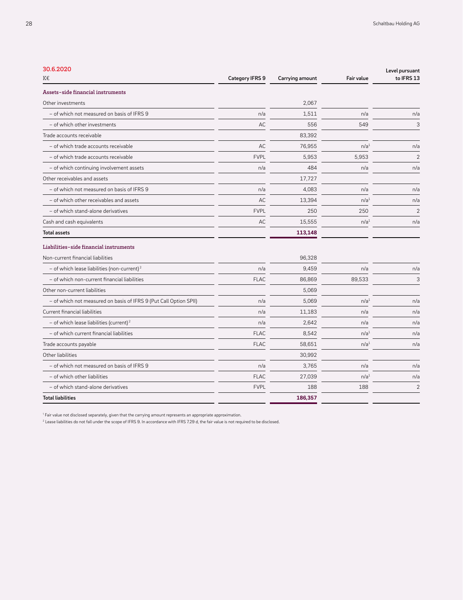| 30.6.2020<br>K€                                                   | <b>Category IFRS 9</b> | Carrying amount | <b>Fair value</b> | Level pursuant<br>to IFRS 13 |
|-------------------------------------------------------------------|------------------------|-----------------|-------------------|------------------------------|
| Assets-side financial instruments                                 |                        |                 |                   |                              |
| Other investments                                                 |                        | 2,067           |                   |                              |
| - of which not measured on basis of IFRS 9                        | n/a                    | 1,511           | n/a               | n/a                          |
| - of which other investments                                      | AC                     | 556             | 549               | 3                            |
| Trade accounts receivable                                         |                        | 83,392          |                   |                              |
| - of which trade accounts receivable                              | AC                     | 76,955          | n/a <sup>1</sup>  | n/a                          |
| - of which trade accounts receivable                              | <b>FVPL</b>            | 5,953           | 5,953             | $\overline{2}$               |
| - of which continuing involvement assets                          | n/a                    | 484             | n/a               | n/a                          |
| Other receivables and assets                                      |                        | 17,727          |                   |                              |
| - of which not measured on basis of IFRS 9                        | n/a                    | 4,083           | n/a               | n/a                          |
| - of which other receivables and assets                           | AC                     | 13,394          | n/a <sup>1</sup>  | n/a                          |
| - of which stand-alone derivatives                                | <b>FVPL</b>            | 250             | 250               | $\overline{2}$               |
| Cash and cash equivalents                                         | AC                     | 15,555          | n/a <sup>1</sup>  | n/a                          |
| <b>Total assets</b>                                               |                        | 113,148         |                   |                              |
| Liabilities-side financial instruments                            |                        |                 |                   |                              |
| Non-current financial liabilities                                 |                        | 96.328          |                   |                              |
| - of which lease liabilities (non-current) <sup>2</sup>           | n/a                    | 9,459           | n/a               | n/a                          |
| - of which non-current financial liabilities                      | <b>FLAC</b>            | 86,869          | 89,533            | 3                            |
| Other non-current liabilities                                     |                        | 5,069           |                   |                              |
| - of which not measured on basis of IFRS 9 (Put Call Option SPII) | n/a                    | 5,069           | n/a <sup>1</sup>  | n/a                          |
| Current financial liabilities                                     | n/a                    | 11,183          | n/a               | n/a                          |
| - of which lease liabilities (current) <sup>2</sup>               | n/a                    | 2,642           | n/a               | n/a                          |
| - of which current financial liabilities                          | <b>FLAC</b>            | 8,542           | n/a <sup>1</sup>  | n/a                          |
| Trade accounts payable                                            | <b>FLAC</b>            | 58,651          | n/a <sup>1</sup>  | n/a                          |
| Other liabilities                                                 |                        | 30,992          |                   |                              |
| - of which not measured on basis of IFRS 9                        | n/a                    | 3,765           | n/a               | n/a                          |
| – of which other liabilities                                      | <b>FLAC</b>            | 27,039          | n/a <sup>1</sup>  | n/a                          |
| - of which stand-alone derivatives                                | <b>FVPL</b>            | 188             | 188               | $\overline{2}$               |
| <b>Total liabilities</b>                                          |                        | 186,357         |                   |                              |

1 Fair value not disclosed separately, given that the carrying amount represents an appropriate approximation.

2 Lease liabilities do not fall under the scope of IFRS 9. In accordance with IFRS 7.29 d, the fair value is not required to be disclosed.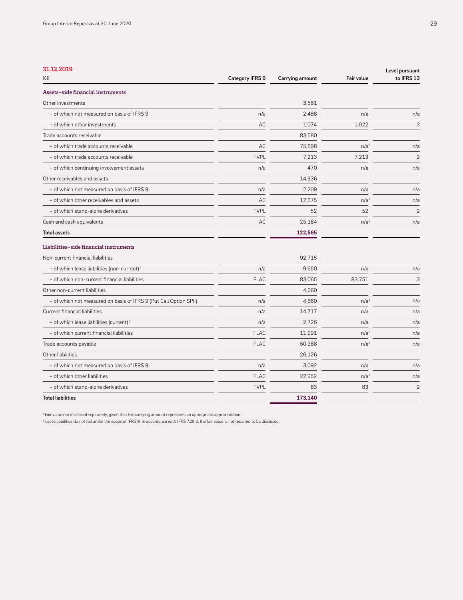| 31.12.2019                                                        |                        |                 |                   | Level pursuant |
|-------------------------------------------------------------------|------------------------|-----------------|-------------------|----------------|
| K€                                                                | <b>Category IFRS 9</b> | Carrying amount | <b>Fair value</b> | to IFRS 13     |
| Assets-side financial instruments                                 |                        |                 |                   |                |
| Other investments                                                 |                        | 3,561           |                   |                |
| - of which not measured on basis of IFRS 9                        | n/a                    | 2,488           | n/a               | n/a            |
| - of which other investments                                      | AC                     | 1,074           | 1,022             | 3              |
| Trade accounts receivable                                         |                        | 83,580          |                   |                |
| - of which trade accounts receivable                              | AC                     | 75,898          | n/a <sup>1</sup>  | n/a            |
| - of which trade accounts receivable                              | <b>FVPL</b>            | 7,213           | 7,213             | $\overline{2}$ |
| - of which continuing involvement assets                          | n/a                    | 470             | n/a               | n/a            |
| Other receivables and assets                                      |                        | 14,936          |                   |                |
| - of which not measured on basis of IFRS 9                        | n/a                    | 2,209           | n/a               | n/a            |
| - of which other receivables and assets                           | AC                     | 12,675          | n/a <sup>1</sup>  | n/a            |
| - of which stand-alone derivatives                                | <b>FVPL</b>            | 52              | 52                | $\overline{2}$ |
| Cash and cash equivalents                                         | AC                     | 25,184          | n/a <sup>1</sup>  | n/a            |
| <b>Total assets</b>                                               |                        | 122,565         |                   |                |
| Liabilities-side financial instruments                            |                        |                 |                   |                |
| Non-current financial liabilities                                 |                        | 92,715          |                   |                |
| $-$ of which lease liabilities (non-current) <sup>2</sup>         | n/a                    | 9,650           | n/a               | n/a            |
| - of which non-current financial liabilities                      | <b>FLAC</b>            | 83,065          | 83,751            | 3              |
| Other non-current liabilities                                     |                        | 4,660           |                   |                |
| - of which not measured on basis of IFRS 9 (Put Call Option SPII) | n/a                    | 4,660           | n/a <sup>1</sup>  | n/a            |
| Current financial liabilities                                     | n/a                    | 14,717          | n/a               | n/a            |
| - of which lease liabilities (current) <sup>2</sup>               | n/a                    | 2,726           | n/a               | n/a            |
| - of which current financial liabilities                          | <b>FLAC</b>            | 11,991          | n/a <sup>1</sup>  | n/a            |
| Trade accounts payable                                            | <b>FLAC</b>            | 50,388          | n/a <sup>1</sup>  | n/a            |
| Other liabilities                                                 |                        | 26,126          |                   |                |
| - of which not measured on basis of IFRS 9                        | n/a                    | 3,092           | n/a               | n/a            |
| - of which other liabilities                                      | <b>FLAC</b>            | 22,952          | n/a <sup>1</sup>  | n/a            |
| - of which stand-alone derivatives                                | <b>FVPL</b>            | 83              | 83                | $\overline{2}$ |
| <b>Total liabilities</b>                                          |                        | 173,140         |                   |                |

1 Fair value not disclosed separately, given that the carrying amount represents an appropriate approximation.

2 Lease liabilities do not fall under the scope of IFRS 9. In accordance with IFRS 7.29 d, the fair value is not required to be disclosed.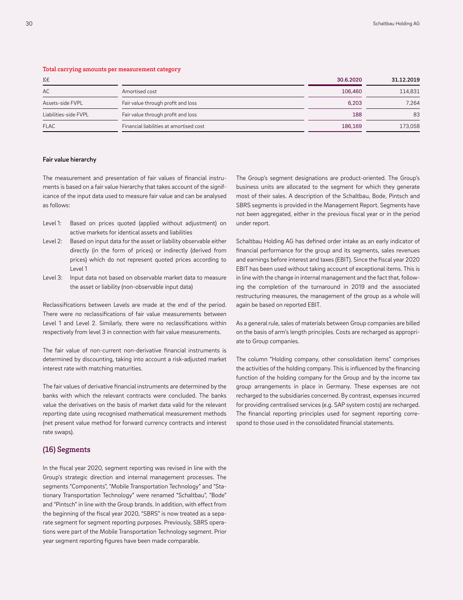| Κ€                    |                                         | 30.6.2020 | 31.12.2019 |
|-----------------------|-----------------------------------------|-----------|------------|
| AC                    | Amortised cost                          | 106,460   | 114,831    |
| Assets-side FVPL      | Fair value through profit and loss      | 6.203     | 7,264      |
| Liabilities-side FVPL | Fair value through profit and loss      | 188       | 83         |
| <b>FLAC</b>           | Financial liabilities at amortised cost | 186.169   | 173,058    |

#### Total carrying amounts per measurement category

#### Fair value hierarchy

The measurement and presentation of fair values of financial instruments is based on a fair value hierarchy that takes account of the significance of the input data used to measure fair value and can be analysed as follows:

- Level 1: Based on prices quoted (applied without adjustment) on active markets for identical assets and liabilities
- Level 2: Based on input data for the asset or liability observable either directly (in the form of prices) or indirectly (derived from prices) which do not represent quoted prices according to Level 1
- Level 3: Input data not based on observable market data to measure the asset or liability (non-observable input data)

Reclassifications between Levels are made at the end of the period. There were no reclassifications of fair value measurements between Level 1 and Level 2. Similarly, there were no reclassifications within respectively from level 3 in connection with fair value measurements.

The fair value of non-current non-derivative financial instruments is determined by discounting, taking into account a risk-adjusted market interest rate with matching maturities.

The fair values of derivative financial instruments are determined by the banks with which the relevant contracts were concluded. The banks value the derivatives on the basis of market data valid for the relevant reporting date using recognised mathematical measurement methods (net present value method for forward currency contracts and interest rate swaps).

# (16) Segments

In the fiscal year 2020, segment reporting was revised in line with the Group's strategic direction and internal management processes. The segments "Components", "Mobile Transportation Technology" and "Stationary Transportation Technology" were renamed "Schaltbau", "Bode" and "Pintsch" in line with the Group brands. In addition, with effect from the beginning of the fiscal year 2020, "SBRS" is now treated as a separate segment for segment reporting purposes. Previously, SBRS operations were part of the Mobile Transportation Technology segment. Prior year segment reporting figures have been made comparable.

The Group's segment designations are product-oriented. The Group's business units are allocated to the segment for which they generate most of their sales. A description of the Schaltbau, Bode, Pintsch and SBRS segments is provided in the Management Report. Segments have not been aggregated, either in the previous fiscal year or in the period under report.

Schaltbau Holding AG has defined order intake as an early indicator of financial performance for the group and its segments, sales revenues and earnings before interest and taxes (EBIT). Since the fiscal year 2020 EBIT has been used without taking account of exceptional items. This is in line with the change in internal management and the fact that, following the completion of the turnaround in 2019 and the associated restructuring measures, the management of the group as a whole will again be based on reported EBIT.

As a general rule, sales of materials between Group companies are billed on the basis of arm's length principles. Costs are recharged as appropriate to Group companies.

The column "Holding company, other consolidation items" comprises the activities of the holding company. This is influenced by the financing function of the holding company for the Group and by the income tax group arrangements in place in Germany. These expenses are not recharged to the subsidiaries concerned. By contrast, expenses incurred for providing centralised services (e.g. SAP system costs) are recharged. The financial reporting principles used for segment reporting correspond to those used in the consolidated financial statements.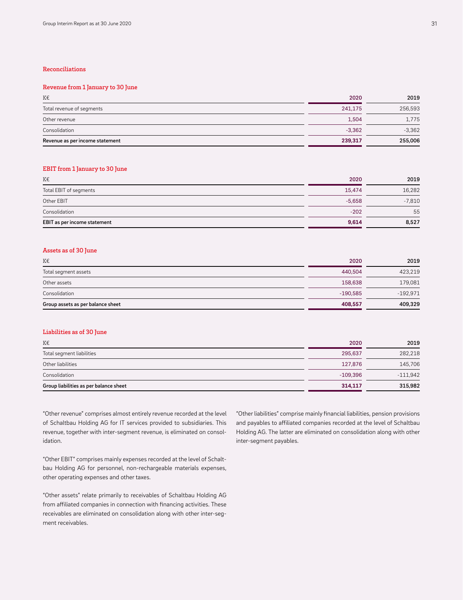#### Reconciliations

#### Revenue from 1 January to 30 June

| K€                              | 2020     | 2019     |
|---------------------------------|----------|----------|
| Total revenue of segments       | 241,175  | 256,593  |
| Other revenue                   | 1,504    | 1,775    |
| Consolidation                   | $-3.362$ | $-3,362$ |
| Revenue as per income statement | 239,317  | 255,006  |

#### EBIT from 1 January to 30 June

| K€                           | 2020     | 2019     |
|------------------------------|----------|----------|
| Total EBIT of segments       | 15,474   | 16,282   |
| Other EBIT                   | $-5,658$ | $-7,810$ |
| Consolidation                | $-202$   | 55       |
| EBIT as per income statement | 9,614    | 8,527    |

#### Assets as of 30 June

| K€                                | 2020       | 2019       |
|-----------------------------------|------------|------------|
| Total segment assets              | 440.504    | 423,219    |
| Other assets                      | 158,638    | 179,081    |
| Consolidation                     | $-190.585$ | $-192,971$ |
| Group assets as per balance sheet | 408.557    | 409,329    |

#### Liabilities as of 30 June

| K€                                     | 2020       | 2019       |
|----------------------------------------|------------|------------|
| Total segment liabilities              | 295.637    | 282,218    |
| Other liabilities                      | 127.876    | 145,706    |
| Consolidation                          | $-109.396$ | $-111,942$ |
| Group liabilities as per balance sheet | 314,117    | 315,982    |

"Other revenue" comprises almost entirely revenue recorded at the level of Schaltbau Holding AG for IT services provided to subsidiaries. This revenue, together with inter-segment revenue, is eliminated on consolidation.

"Other EBIT" comprises mainly expenses recorded at the level of Schaltbau Holding AG for personnel, non-rechargeable materials expenses, other operating expenses and other taxes.

"Other assets" relate primarily to receivables of Schaltbau Holding AG from affiliated companies in connection with financing activities. These receivables are eliminated on consolidation along with other inter-segment receivables.

"Other liabilities" comprise mainly financial liabilities, pension provisions and payables to affiliated companies recorded at the level of Schaltbau Holding AG. The latter are eliminated on consolidation along with other inter-segment payables.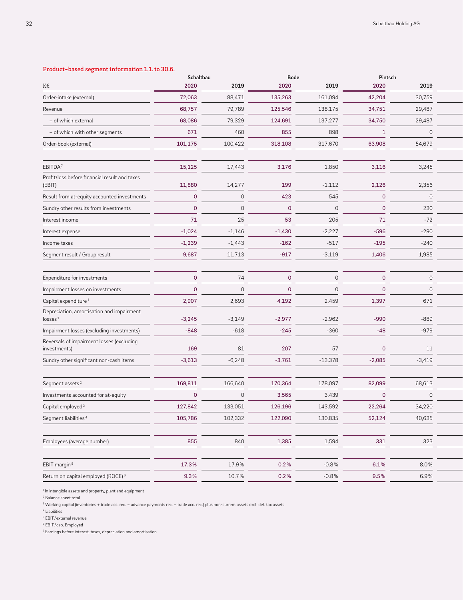## Product-based segment information 1.1. to 30.6.

|                                                | Schaltbau      |                | Bode           |                | Pintsch        |                |
|------------------------------------------------|----------------|----------------|----------------|----------------|----------------|----------------|
| K€                                             | 2020           | 2019           | 2020           | 2019           | 2020           | 2019           |
| Order-intake (external)                        | 72,063         | 88,471         | 135,263        | 161,094        | 42,204         | 30,759         |
| Revenue                                        | 68,757         | 79,789         | 125,546        | 138,175        | 34,751         | 29,487         |
| - of which external                            | 68,086         | 79,329         | 124,691        | 137,277        | 34,750         | 29,487         |
| - of which with other segments                 | 671            | 460            | 855            | 898            | $\mathbf{1}$   | $\overline{0}$ |
| Order-book (external)                          | 101,175        | 100,422        | 318,108        | 317,670        | 63,908         | 54,679         |
|                                                |                |                |                |                |                |                |
| EBITDA <sup>7</sup>                            | 15,125         | 17,443         | 3,176          | 1,850          | 3,116          | 3,245          |
| Profit/loss before financial result and taxes  |                |                |                |                |                |                |
| (EBIT)                                         | 11,880         | 14,277         | 199            | $-1,112$       | 2,126          | 2,356          |
| Result from at-equity accounted investments    | $\overline{0}$ | $\circ$        | 423            | 545            | $\mathbf 0$    | $\overline{0}$ |
| Sundry other results from investments          | $\overline{0}$ | $\overline{0}$ | $\overline{0}$ | $\overline{O}$ | $\overline{0}$ | 230            |
| Interest income                                | 71             | 25             | 53             | 205            | 71             | $-72$          |
| Interest expense                               | $-1,024$       | $-1,146$       | $-1,430$       | $-2,227$       | $-596$         | $-290$         |
| Income taxes                                   | $-1,239$       | $-1,443$       | $-162$         | $-517$         | $-195$         | $-240$         |
| Segment result / Group result                  | 9,687          | 11,713         | $-917$         | $-3,119$       | 1,406          | 1,985          |
|                                                |                |                |                |                |                |                |
| Expenditure for investments                    | $\overline{0}$ | 74             | $\overline{0}$ | $\circ$        | $\mathbf 0$    | $\overline{0}$ |
| Impairment losses on investments               | $\overline{0}$ | $\overline{0}$ | $\overline{0}$ | $\circ$        | $\mathbf 0$    | $\circ$        |
| Capital expenditure <sup>1</sup>               | 2,907          | 2,693          | 4,192          | 2,459          | 1,397          | 671            |
| Depreciation, amortisation and impairment      |                |                |                |                |                |                |
| losses <sup>1</sup>                            | $-3,245$       | $-3,149$       | $-2,977$       | $-2,962$       | $-990$         | $-889$         |
| Impairment losses (excluding investments)      | $-848$         | $-618$         | $-245$         | $-360$         | $-48$          | $-979$         |
| Reversals of impairment losses (excluding      |                |                |                |                |                |                |
| investments)                                   | 169            | 81             | 207            | 57             | $\mathbf 0$    | $11\,$         |
| Sundry other significant non-cash items        | $-3,613$       | $-6,248$       | $-3,761$       | $-13,378$      | $-2,085$       | $-3,419$       |
|                                                |                |                |                |                |                |                |
| Segment assets <sup>2</sup>                    | 169,811        | 166,640        | 170,364        | 178,097        | 82,099         | 68,613         |
| Investments accounted for at-equity            | $\overline{0}$ | $\overline{0}$ | 3,565          | 3,439          | $\overline{0}$ | $\overline{0}$ |
| Capital employed <sup>3</sup>                  | 127,842        | 133,051        | 126,196        | 143,592        | 22,264         | 34,220         |
| Segment liabilities $^4$                       | 105,786        | 102,332        | 122,090        | 130,835        | 52,124         | 40,635         |
|                                                |                |                |                |                |                |                |
| Employees (average number)                     | 855            | 840            | 1,385          | 1,594          | 331            | 323            |
|                                                |                |                |                |                |                |                |
| EBIT margin <sup>5</sup>                       | 17.3%          | 17.9%          | 0.2%           | $-0.8%$        | 6.1%           | 8.0%           |
| Return on capital employed (ROCE) <sup>6</sup> | 9.3%           | 10.7%          | 0.2%           | $-0.8%$        | 9.5%           | 6.9%           |

<sup>1</sup> In intangible assets and property, plant and equipment

2 Balance sheet total

 $^{\rm 3}$  Working capital (inventories + trade acc. rec. – advance payments rec. – trade acc. rec.) plus non-current assets excl. def. tax assets

4 Liabilities

5 EBIT/ external revenue

6 EBIT/ cap. Employed

7 Earnings before interest, taxes, depreciation and amortisation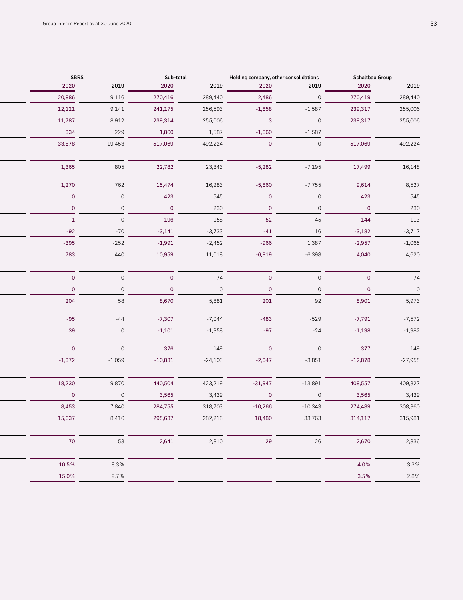| <b>SBRS</b><br>Sub-total |                | Holding company, other consolidations |                | Schaltbau Group |                         |                |                |         |
|--------------------------|----------------|---------------------------------------|----------------|-----------------|-------------------------|----------------|----------------|---------|
|                          | 2020           | 2019                                  | 2020           | 2019            | 2020                    | 2019           | 2020           | 2019    |
|                          | 20,886         | 9,116                                 | 270,416        | 289,440         | 2,486                   | $\overline{0}$ | 270,419        | 289,440 |
|                          | 12,121         | 9,141                                 | 241,175        | 256,593         | $-1,858$                | $-1,587$       | 239,317        | 255,006 |
|                          | 11,787         | 8,912                                 | 239,314        | 255,006         | $\overline{\mathbf{3}}$ | $\overline{0}$ | 239,317        | 255,006 |
|                          | 334            | 229                                   | 1,860          | 1,587           | $-1,860$                | $-1,587$       |                |         |
|                          | 33,878         | 19,453                                | 517,069        | 492,224         | $\overline{0}$          | $\overline{0}$ | 517,069        | 492,224 |
|                          | 1,365          | 805                                   | 22,782         | 23,343          | $-5,282$                | $-7,195$       | 17,499         | 16,148  |
|                          | 1,270          | 762                                   | 15,474         | 16,283          | $-5,860$                | $-7,755$       | 9,614          |         |
|                          | $\overline{0}$ | $\overline{0}$                        | 423            | 545             | $\overline{0}$          | $\overline{0}$ | 423            |         |
|                          | $\overline{0}$ | $\circ$                               | $\overline{0}$ | 230             | $\overline{0}$          | $\overline{0}$ | $\overline{0}$ |         |
|                          | $\overline{1}$ | $\overline{0}$                        | 196            | 158             | $-52$                   | $-45$          | 144            |         |
|                          | $-92$          | $-70$                                 | $-3,141$       | $-3,733$        | $-41$                   | 16             | $-3,182$       |         |
|                          | $-395$         | $-252$                                | $-1,991$       | $-2,452$        | $-966$                  | 1,387          | $-2,957$       |         |
|                          | 783            | 440                                   | 10,959         | 11,018          | $-6,919$                | $-6,398$       | 4,040          |         |
|                          | $\overline{0}$ | $\overline{0}$                        | $\overline{0}$ | 74              | $\overline{0}$          | $\overline{0}$ | $\overline{0}$ |         |
|                          | $\overline{0}$ | $\circ$                               | $\overline{0}$ | $\overline{0}$  | $\overline{0}$          | $\overline{0}$ | $\overline{0}$ |         |
|                          | 204            | 58                                    | 8,670          | 5,881           | 201                     | 92             | 8,901          |         |
|                          | $-95$          | $-44$                                 | $-7,307$       | $-7,044$        | $-483$                  | $-529$         | $-7,791$       |         |
|                          | 39             | $\overline{O}$                        | $-1,101$       | $-1,958$        | $-97$                   | $-24$          | $-1,198$       |         |
|                          | $\overline{0}$ | $\circ$                               | 376            | 149             | $\overline{0}$          | $\overline{0}$ | 377            |         |
|                          | $-1,372$       | $-1,059$                              | $-10,831$      | $-24,103$       | $-2,047$                | $-3,851$       | $-12,878$      |         |
|                          | 18,230         | 9,870                                 | 440,504        | 423,219         | $-31,947$               | $-13,891$      | 408,557        |         |
|                          | $\overline{0}$ | $\circ$                               | 3,565          | 3,439           | $\overline{0}$          | $\overline{0}$ | 3,565          |         |
|                          | 8,453          | 7,840                                 | 284,755        | 318,703         | $-10,266$               | $-10,343$      | 274,489        |         |
|                          | 15,637         | 8,416                                 | 295,637        | 282,218         | 18,480                  | 33,763         | 314,117        |         |
|                          |                |                                       |                |                 |                         |                |                |         |
|                          | 70             | 53                                    | 2,641          | 2,810           | 29                      | 26             | 2,670          |         |
|                          | 10.5%          | 8.3%                                  |                |                 |                         |                | 4.0%           |         |
|                          | 15.0%          | 9.7%                                  |                |                 |                         |                | 3.5%           |         |
|                          |                |                                       |                |                 |                         |                |                |         |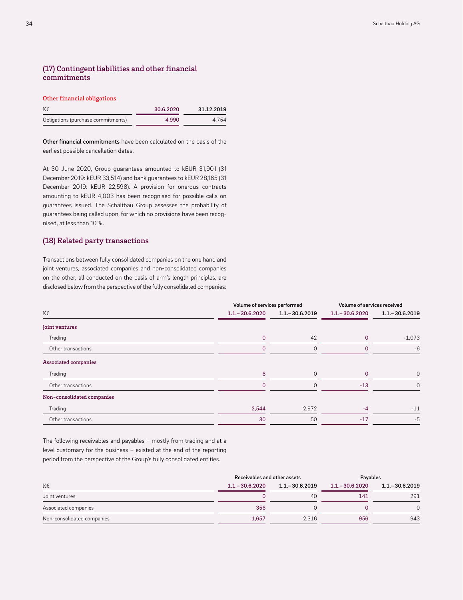# (17) Contingent liabilities and other financial commitments

#### Other financial obligations

| K€                                 | 30.6.2020 | 31.12.2019 |
|------------------------------------|-----------|------------|
| Obligations (purchase commitments) | 4.990     | 4.754      |

Other financial commitments have been calculated on the basis of the earliest possible cancellation dates.

At 30 June 2020, Group guarantees amounted to kEUR 31,901 (31 December 2019: kEUR 33,514) and bank guarantees to kEUR 28,165 (31 December 2019: kEUR 22,598). A provision for onerous contracts amounting to kEUR 4,003 has been recognised for possible calls on guarantees issued. The Schaltbau Group assesses the probability of guarantees being called upon, for which no provisions have been recognised, at less than 10%.

# (18) Related party transactions

Transactions between fully consolidated companies on the one hand and joint ventures, associated companies and non-consolidated companies on the other, all conducted on the basis of arm's length principles, are disclosed below from the perspective of the fully consolidated companies:

|                            | Volume of services performed |                   | Volume of services received |                   |
|----------------------------|------------------------------|-------------------|-----------------------------|-------------------|
| K€                         | $1.1 - 30.6.2020$            | $1.1 - 30.6.2019$ | $1.1 - 30.6.2020$           | $1.1 - 30.6.2019$ |
| Joint ventures             |                              |                   |                             |                   |
| Trading                    | $\mathbf{0}$                 | 42                | $\Omega$                    | $-1,073$          |
| Other transactions         | $\Omega$                     | 0                 | 0                           | $-6$              |
| Associated companies       |                              |                   |                             |                   |
| Trading                    | 6                            | $\overline{0}$    | $\mathbf 0$                 | $\mathbf{0}$      |
| Other transactions         | $\Omega$                     | $\Omega$          | $-13$                       | 0                 |
| Non-consolidated companies |                              |                   |                             |                   |
| Trading                    | 2,544                        | 2,972             | $-4$                        | $-11$             |
| Other transactions         | 30                           | 50                | $-17$                       | $-5$              |

The following receivables and payables – mostly from trading and at a level customary for the business – existed at the end of the reporting period from the perspective of the Group's fully consolidated entities.

|                            | Receivables and other assets |                   | Payables          |                   |
|----------------------------|------------------------------|-------------------|-------------------|-------------------|
| K€                         | $1.1 - 30.6.2020$            | $1.1 - 30.6.2019$ | $1.1 - 30.6.2020$ | $1.1 - 30.6.2019$ |
| Joint ventures             |                              | 40                | 141               | 291               |
| Associated companies       | 356                          |                   |                   | $\Omega$          |
| Non-consolidated companies | 1.657                        | 2.316             | 956               | 943               |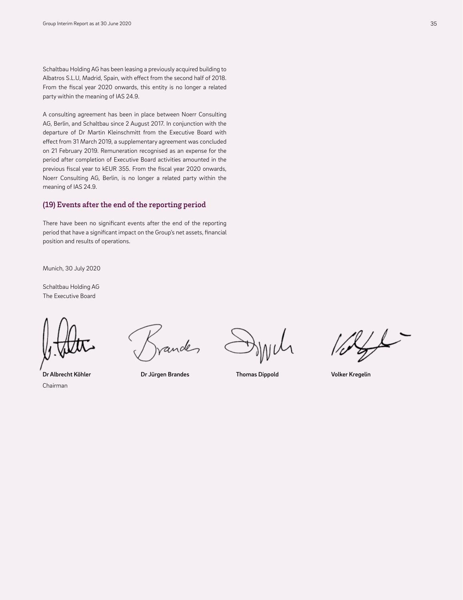Schaltbau Holding AG has been leasing a previously acquired building to Albatros S.L.U, Madrid, Spain, with effect from the second half of 2018. From the fiscal year 2020 onwards, this entity is no longer a related party within the meaning of IAS 24.9.

A consulting agreement has been in place between Noerr Consulting AG, Berlin, and Schaltbau since 2 August 2017. In conjunction with the departure of Dr Martin Kleinschmitt from the Executive Board with effect from 31 March 2019, a supplementary agreement was concluded on 21 February 2019. Remuneration recognised as an expense for the period after completion of Executive Board activities amounted in the previous fiscal year to kEUR 355. From the fiscal year 2020 onwards, Noerr Consulting AG, Berlin, is no longer a related party within the meaning of IAS 24.9.

# (19) Events after the end of the reporting period

There have been no significant events after the end of the reporting period that have a significant impact on the Group's net assets, financial position and results of operations.

Munich, 30 July 2020

Schaltbau Holding AG The Executive Board

Dr Albrecht Köhler Dr Jürgen Brandes Thomas Dippold Volker Kregelin Chairman

 $\mu$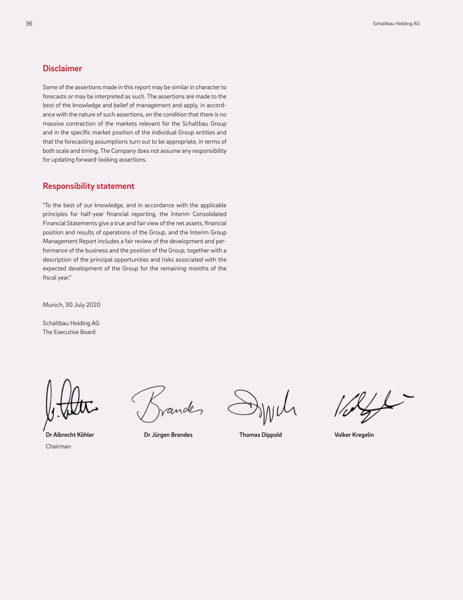# Disclaimer

Some of the assertions made in this report may be similar in character to forecasts or may be interpreted as such. The assertions are made to the best of the knowledge and belief of management and apply, in accordance with the nature of such assertions, on the condition that there is no massive contraction of the markets relevant for the Schaltbau Group and in the specific market position of the individual Group entities and that the forecasting assumptions turn out to be appropriate, in terms of both scale and timing. The Company does not assume any responsibility for updating forward-looking assertions.

# Responsibility statement

"To the best of our knowledge, and in accordance with the applicable principles for half-year financial reporting, the Interim Consolidated Financial Statements give a true and fair view of the net assets, financial position and results of operations of the Group, and the Interim Group Management Report includes a fair review of the development and performance of the business and the position of the Group, together with a description of the principal opportunities and risks associated with the expected development of the Group for the remaining months of the fiscal year."

Munich, 30 July 2020

Schaltbau Holding AG The Executive Board

Dr Albrecht Köhler Dr Jürgen Brandes Thomas Dippold Volker Kregelin Chairman

 $\mu$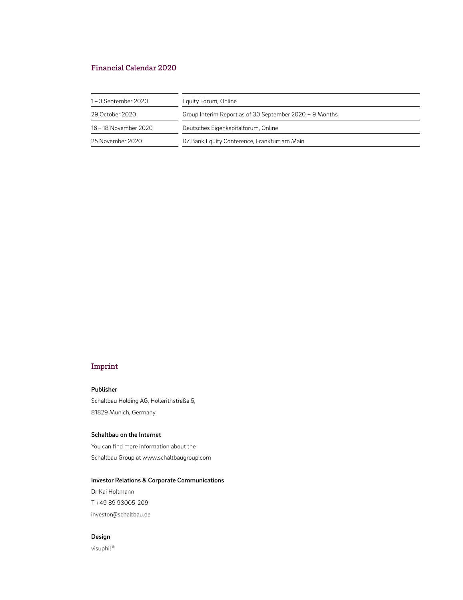# Financial Calendar 2020

| 1-3 September 2020    | Equity Forum, Online                                    |
|-----------------------|---------------------------------------------------------|
| 29 October 2020       | Group Interim Report as of 30 September 2020 - 9 Months |
| 16 – 18 November 2020 | Deutsches Eigenkapitalforum, Online                     |
| 25 November 2020      | DZ Bank Equity Conference, Frankfurt am Main            |

# Imprint

#### Publisher

Schaltbau Holding AG, Hollerithstraße 5, 81829 Munich, Germany

#### Schaltbau on the Internet

You can find more information about the Schaltbau Group at www.schaltbaugroup.com

# Investor Relations & Corporate Communications

Dr Kai Holtmann T +49 89 93005-209 investor@schaltbau.de

#### Design

visuphil ®